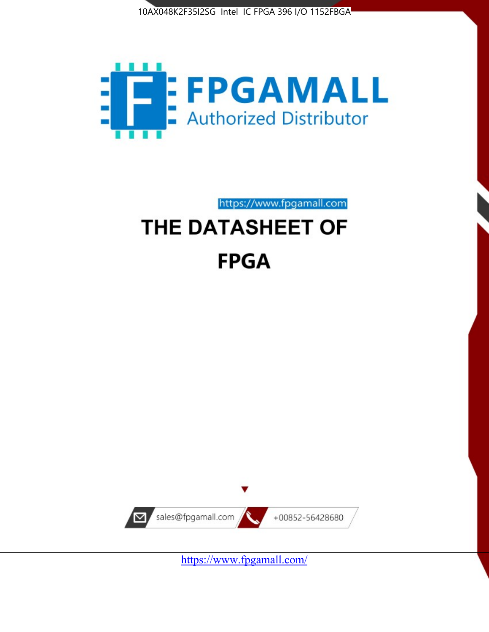



https://www.fpgamall.com

# THE DATASHEET OF **FPGA**



<https://www.fpgamall.com/>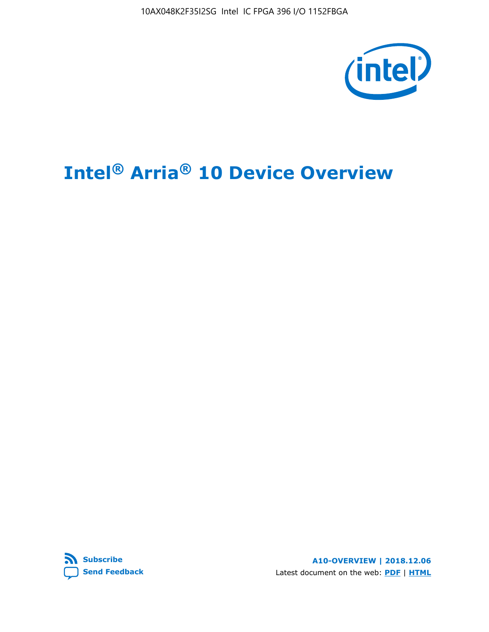10AX048K2F35I2SG Intel IC FPGA 396 I/O 1152FBGA



# **Intel® Arria® 10 Device Overview**



**A10-OVERVIEW | 2018.12.06** Latest document on the web: **[PDF](https://www.intel.com/content/dam/www/programmable/us/en/pdfs/literature/hb/arria-10/a10_overview.pdf)** | **[HTML](https://www.intel.com/content/www/us/en/programmable/documentation/sam1403480274650.html)**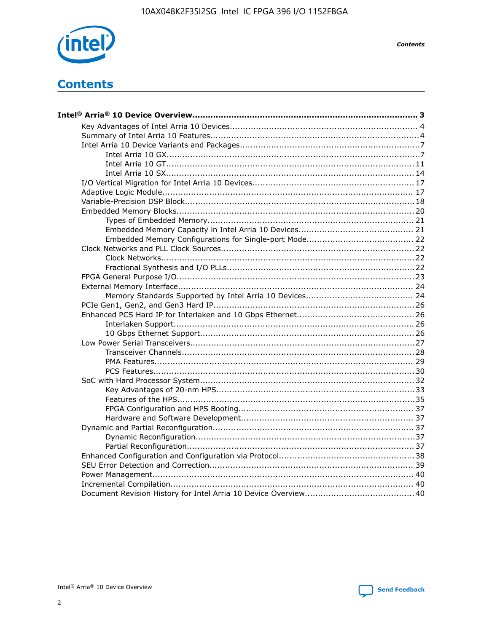

**Contents** 

# **Contents**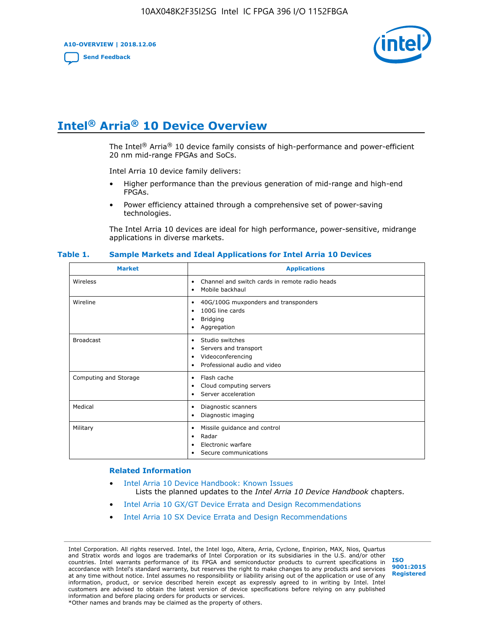**A10-OVERVIEW | 2018.12.06**

**[Send Feedback](mailto:FPGAtechdocfeedback@intel.com?subject=Feedback%20on%20Intel%20Arria%2010%20Device%20Overview%20(A10-OVERVIEW%202018.12.06)&body=We%20appreciate%20your%20feedback.%20In%20your%20comments,%20also%20specify%20the%20page%20number%20or%20paragraph.%20Thank%20you.)**



# **Intel® Arria® 10 Device Overview**

The Intel<sup>®</sup> Arria<sup>®</sup> 10 device family consists of high-performance and power-efficient 20 nm mid-range FPGAs and SoCs.

Intel Arria 10 device family delivers:

- Higher performance than the previous generation of mid-range and high-end FPGAs.
- Power efficiency attained through a comprehensive set of power-saving technologies.

The Intel Arria 10 devices are ideal for high performance, power-sensitive, midrange applications in diverse markets.

| <b>Market</b>         | <b>Applications</b>                                                                                               |
|-----------------------|-------------------------------------------------------------------------------------------------------------------|
| Wireless              | Channel and switch cards in remote radio heads<br>٠<br>Mobile backhaul<br>٠                                       |
| Wireline              | 40G/100G muxponders and transponders<br>٠<br>100G line cards<br>٠<br><b>Bridging</b><br>٠<br>Aggregation<br>٠     |
| <b>Broadcast</b>      | Studio switches<br>٠<br>Servers and transport<br>٠<br>Videoconferencing<br>٠<br>Professional audio and video<br>٠ |
| Computing and Storage | Flash cache<br>٠<br>Cloud computing servers<br>٠<br>Server acceleration<br>٠                                      |
| Medical               | Diagnostic scanners<br>٠<br>Diagnostic imaging<br>٠                                                               |
| Military              | Missile guidance and control<br>٠<br>Radar<br>٠<br>Electronic warfare<br>٠<br>Secure communications<br>٠          |

#### **Table 1. Sample Markets and Ideal Applications for Intel Arria 10 Devices**

#### **Related Information**

- [Intel Arria 10 Device Handbook: Known Issues](http://www.altera.com/support/kdb/solutions/rd07302013_646.html) Lists the planned updates to the *Intel Arria 10 Device Handbook* chapters.
- [Intel Arria 10 GX/GT Device Errata and Design Recommendations](https://www.intel.com/content/www/us/en/programmable/documentation/agz1493851706374.html#yqz1494433888646)
- [Intel Arria 10 SX Device Errata and Design Recommendations](https://www.intel.com/content/www/us/en/programmable/documentation/cru1462832385668.html#cru1462832558642)

Intel Corporation. All rights reserved. Intel, the Intel logo, Altera, Arria, Cyclone, Enpirion, MAX, Nios, Quartus and Stratix words and logos are trademarks of Intel Corporation or its subsidiaries in the U.S. and/or other countries. Intel warrants performance of its FPGA and semiconductor products to current specifications in accordance with Intel's standard warranty, but reserves the right to make changes to any products and services at any time without notice. Intel assumes no responsibility or liability arising out of the application or use of any information, product, or service described herein except as expressly agreed to in writing by Intel. Intel customers are advised to obtain the latest version of device specifications before relying on any published information and before placing orders for products or services. \*Other names and brands may be claimed as the property of others.

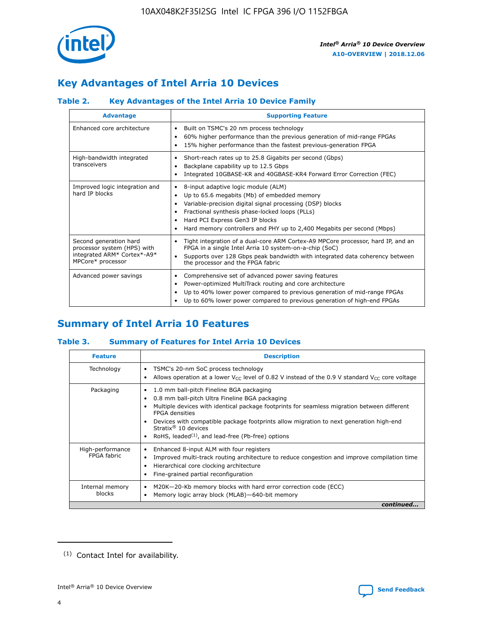

# **Key Advantages of Intel Arria 10 Devices**

# **Table 2. Key Advantages of the Intel Arria 10 Device Family**

| <b>Advantage</b>                                                                                          | <b>Supporting Feature</b>                                                                                                                                                                                                                                                                                                |  |  |  |  |  |  |
|-----------------------------------------------------------------------------------------------------------|--------------------------------------------------------------------------------------------------------------------------------------------------------------------------------------------------------------------------------------------------------------------------------------------------------------------------|--|--|--|--|--|--|
| Enhanced core architecture                                                                                | Built on TSMC's 20 nm process technology<br>٠<br>60% higher performance than the previous generation of mid-range FPGAs<br>٠<br>15% higher performance than the fastest previous-generation FPGA<br>٠                                                                                                                    |  |  |  |  |  |  |
| High-bandwidth integrated<br>transceivers                                                                 | Short-reach rates up to 25.8 Gigabits per second (Gbps)<br>٠<br>Backplane capability up to 12.5 Gbps<br>٠<br>Integrated 10GBASE-KR and 40GBASE-KR4 Forward Error Correction (FEC)<br>٠                                                                                                                                   |  |  |  |  |  |  |
| Improved logic integration and<br>hard IP blocks                                                          | 8-input adaptive logic module (ALM)<br>٠<br>Up to 65.6 megabits (Mb) of embedded memory<br>٠<br>Variable-precision digital signal processing (DSP) blocks<br>Fractional synthesis phase-locked loops (PLLs)<br>Hard PCI Express Gen3 IP blocks<br>Hard memory controllers and PHY up to 2,400 Megabits per second (Mbps) |  |  |  |  |  |  |
| Second generation hard<br>processor system (HPS) with<br>integrated ARM* Cortex*-A9*<br>MPCore* processor | Tight integration of a dual-core ARM Cortex-A9 MPCore processor, hard IP, and an<br>٠<br>FPGA in a single Intel Arria 10 system-on-a-chip (SoC)<br>Supports over 128 Gbps peak bandwidth with integrated data coherency between<br>$\bullet$<br>the processor and the FPGA fabric                                        |  |  |  |  |  |  |
| Advanced power savings                                                                                    | Comprehensive set of advanced power saving features<br>٠<br>Power-optimized MultiTrack routing and core architecture<br>٠<br>Up to 40% lower power compared to previous generation of mid-range FPGAs<br>Up to 60% lower power compared to previous generation of high-end FPGAs                                         |  |  |  |  |  |  |

# **Summary of Intel Arria 10 Features**

## **Table 3. Summary of Features for Intel Arria 10 Devices**

| <b>Feature</b>                  | <b>Description</b>                                                                                                                                                                                                                                                                                                                                                                                           |
|---------------------------------|--------------------------------------------------------------------------------------------------------------------------------------------------------------------------------------------------------------------------------------------------------------------------------------------------------------------------------------------------------------------------------------------------------------|
| Technology                      | TSMC's 20-nm SoC process technology<br>Allows operation at a lower $V_{\text{CC}}$ level of 0.82 V instead of the 0.9 V standard $V_{\text{CC}}$ core voltage                                                                                                                                                                                                                                                |
| Packaging                       | 1.0 mm ball-pitch Fineline BGA packaging<br>٠<br>0.8 mm ball-pitch Ultra Fineline BGA packaging<br>Multiple devices with identical package footprints for seamless migration between different<br><b>FPGA</b> densities<br>Devices with compatible package footprints allow migration to next generation high-end<br>Stratix <sup>®</sup> 10 devices<br>RoHS, leaded $(1)$ , and lead-free (Pb-free) options |
| High-performance<br>FPGA fabric | Enhanced 8-input ALM with four registers<br>Improved multi-track routing architecture to reduce congestion and improve compilation time<br>Hierarchical core clocking architecture<br>Fine-grained partial reconfiguration                                                                                                                                                                                   |
| Internal memory<br>blocks       | M20K-20-Kb memory blocks with hard error correction code (ECC)<br>Memory logic array block (MLAB)-640-bit memory                                                                                                                                                                                                                                                                                             |
|                                 | continued                                                                                                                                                                                                                                                                                                                                                                                                    |



<sup>(1)</sup> Contact Intel for availability.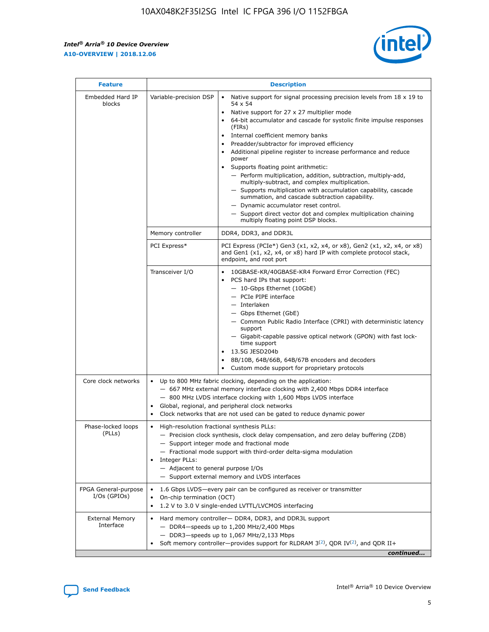$\mathsf{r}$ 



| <b>Feature</b>                         |                                                                                                                | <b>Description</b>                                                                                                                                                                                                                                                                                                                                                                                                                                                                                                                                                                                                                                                                                                                                                                                                                          |
|----------------------------------------|----------------------------------------------------------------------------------------------------------------|---------------------------------------------------------------------------------------------------------------------------------------------------------------------------------------------------------------------------------------------------------------------------------------------------------------------------------------------------------------------------------------------------------------------------------------------------------------------------------------------------------------------------------------------------------------------------------------------------------------------------------------------------------------------------------------------------------------------------------------------------------------------------------------------------------------------------------------------|
| Embedded Hard IP<br>blocks             | Variable-precision DSP                                                                                         | Native support for signal processing precision levels from $18 \times 19$ to<br>$\bullet$<br>54 x 54<br>Native support for 27 x 27 multiplier mode<br>64-bit accumulator and cascade for systolic finite impulse responses<br>(FIRs)<br>Internal coefficient memory banks<br>٠<br>Preadder/subtractor for improved efficiency<br>Additional pipeline register to increase performance and reduce<br>power<br>Supports floating point arithmetic:<br>- Perform multiplication, addition, subtraction, multiply-add,<br>multiply-subtract, and complex multiplication.<br>- Supports multiplication with accumulation capability, cascade<br>summation, and cascade subtraction capability.<br>- Dynamic accumulator reset control.<br>- Support direct vector dot and complex multiplication chaining<br>multiply floating point DSP blocks. |
|                                        | Memory controller                                                                                              | DDR4, DDR3, and DDR3L                                                                                                                                                                                                                                                                                                                                                                                                                                                                                                                                                                                                                                                                                                                                                                                                                       |
|                                        | PCI Express*                                                                                                   | PCI Express (PCIe*) Gen3 (x1, x2, x4, or x8), Gen2 (x1, x2, x4, or x8)<br>and Gen1 (x1, x2, x4, or x8) hard IP with complete protocol stack,<br>endpoint, and root port                                                                                                                                                                                                                                                                                                                                                                                                                                                                                                                                                                                                                                                                     |
|                                        | Transceiver I/O                                                                                                | 10GBASE-KR/40GBASE-KR4 Forward Error Correction (FEC)<br>PCS hard IPs that support:<br>- 10-Gbps Ethernet (10GbE)<br>- PCIe PIPE interface<br>- Interlaken<br>- Gbps Ethernet (GbE)<br>- Common Public Radio Interface (CPRI) with deterministic latency<br>support<br>- Gigabit-capable passive optical network (GPON) with fast lock-<br>time support<br>13.5G JESD204b<br>$\bullet$<br>8B/10B, 64B/66B, 64B/67B encoders and decoders<br>Custom mode support for proprietary protocols                                                                                                                                                                                                                                                                                                                                                   |
| Core clock networks                    | $\bullet$<br>$\bullet$                                                                                         | Up to 800 MHz fabric clocking, depending on the application:<br>- 667 MHz external memory interface clocking with 2,400 Mbps DDR4 interface<br>- 800 MHz LVDS interface clocking with 1,600 Mbps LVDS interface<br>Global, regional, and peripheral clock networks<br>Clock networks that are not used can be gated to reduce dynamic power                                                                                                                                                                                                                                                                                                                                                                                                                                                                                                 |
| Phase-locked loops<br>(PLLs)           | High-resolution fractional synthesis PLLs:<br>$\bullet$<br>Integer PLLs:<br>- Adjacent to general purpose I/Os | - Precision clock synthesis, clock delay compensation, and zero delay buffering (ZDB)<br>- Support integer mode and fractional mode<br>- Fractional mode support with third-order delta-sigma modulation<br>- Support external memory and LVDS interfaces                                                                                                                                                                                                                                                                                                                                                                                                                                                                                                                                                                                   |
| FPGA General-purpose<br>$I/Os$ (GPIOs) | On-chip termination (OCT)<br>$\bullet$                                                                         | 1.6 Gbps LVDS-every pair can be configured as receiver or transmitter<br>1.2 V to 3.0 V single-ended LVTTL/LVCMOS interfacing                                                                                                                                                                                                                                                                                                                                                                                                                                                                                                                                                                                                                                                                                                               |
| <b>External Memory</b><br>Interface    |                                                                                                                | Hard memory controller- DDR4, DDR3, and DDR3L support<br>$-$ DDR4-speeds up to 1,200 MHz/2,400 Mbps<br>- DDR3-speeds up to 1,067 MHz/2,133 Mbps<br>Soft memory controller—provides support for RLDRAM $3^{(2)}$ , QDR IV $(2^2)$ , and QDR II+<br>continued                                                                                                                                                                                                                                                                                                                                                                                                                                                                                                                                                                                 |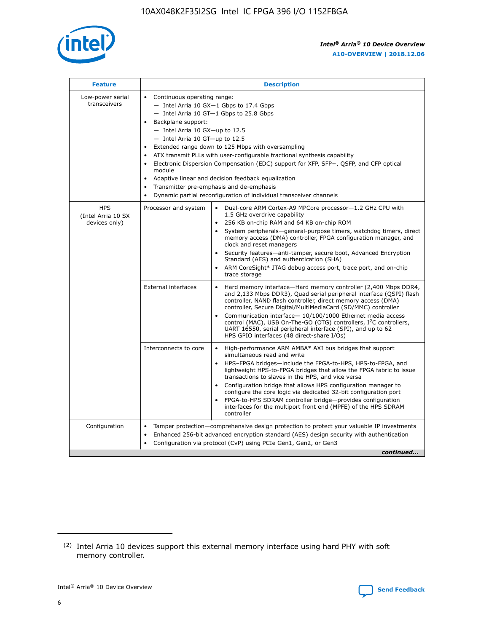

| <b>Feature</b>                                    | <b>Description</b>                                                                                                                                                                                                                                                                                                                                                                                                                                                                                                                                                                                                                                                        |
|---------------------------------------------------|---------------------------------------------------------------------------------------------------------------------------------------------------------------------------------------------------------------------------------------------------------------------------------------------------------------------------------------------------------------------------------------------------------------------------------------------------------------------------------------------------------------------------------------------------------------------------------------------------------------------------------------------------------------------------|
| Low-power serial<br>transceivers                  | • Continuous operating range:<br>- Intel Arria 10 GX-1 Gbps to 17.4 Gbps<br>$-$ Intel Arria 10 GT $-1$ Gbps to 25.8 Gbps<br>Backplane support:<br>$\bullet$<br>$-$ Intel Arria 10 GX-up to 12.5<br>$-$ Intel Arria 10 GT-up to 12.5<br>Extended range down to 125 Mbps with oversampling<br>ATX transmit PLLs with user-configurable fractional synthesis capability<br>Electronic Dispersion Compensation (EDC) support for XFP, SFP+, OSFP, and CFP optical<br>module<br>Adaptive linear and decision feedback equalization<br>$\bullet$<br>Transmitter pre-emphasis and de-emphasis<br>$\bullet$<br>Dynamic partial reconfiguration of individual transceiver channels |
| <b>HPS</b><br>(Intel Arria 10 SX<br>devices only) | Dual-core ARM Cortex-A9 MPCore processor-1.2 GHz CPU with<br>Processor and system<br>$\bullet$<br>1.5 GHz overdrive capability<br>256 KB on-chip RAM and 64 KB on-chip ROM<br>System peripherals-general-purpose timers, watchdog timers, direct<br>memory access (DMA) controller, FPGA configuration manager, and<br>clock and reset managers<br>• Security features—anti-tamper, secure boot, Advanced Encryption<br>Standard (AES) and authentication (SHA)<br>ARM CoreSight* JTAG debug access port, trace port, and on-chip<br>$\bullet$<br>trace storage                                                                                                           |
|                                                   | <b>External interfaces</b><br>Hard memory interface—Hard memory controller (2,400 Mbps DDR4,<br>and 2,133 Mbps DDR3), Quad serial peripheral interface (QSPI) flash<br>controller, NAND flash controller, direct memory access (DMA)<br>controller, Secure Digital/MultiMediaCard (SD/MMC) controller<br>Communication interface-10/100/1000 Ethernet media access<br>$\bullet$<br>control (MAC), USB On-The-GO (OTG) controllers, I <sup>2</sup> C controllers,<br>UART 16550, serial peripheral interface (SPI), and up to 62<br>HPS GPIO interfaces (48 direct-share I/Os)                                                                                             |
|                                                   | Interconnects to core<br>• High-performance ARM AMBA* AXI bus bridges that support<br>simultaneous read and write<br>HPS-FPGA bridges-include the FPGA-to-HPS, HPS-to-FPGA, and<br>$\bullet$<br>lightweight HPS-to-FPGA bridges that allow the FPGA fabric to issue<br>transactions to slaves in the HPS, and vice versa<br>Configuration bridge that allows HPS configuration manager to<br>configure the core logic via dedicated 32-bit configuration port<br>FPGA-to-HPS SDRAM controller bridge-provides configuration<br>interfaces for the multiport front end (MPFE) of the HPS SDRAM<br>controller                                                               |
| Configuration                                     | Tamper protection—comprehensive design protection to protect your valuable IP investments<br>Enhanced 256-bit advanced encryption standard (AES) design security with authentication<br>$\bullet$<br>Configuration via protocol (CvP) using PCIe Gen1, Gen2, or Gen3<br>continued                                                                                                                                                                                                                                                                                                                                                                                         |



<sup>(2)</sup> Intel Arria 10 devices support this external memory interface using hard PHY with soft memory controller.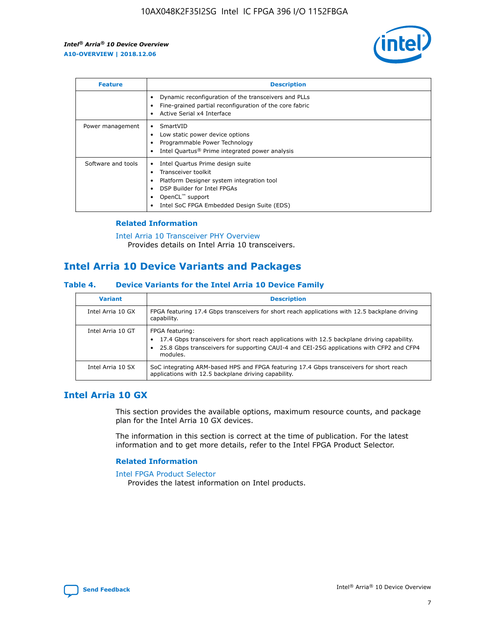

| <b>Feature</b>     | <b>Description</b>                                                                                                                                                                                               |
|--------------------|------------------------------------------------------------------------------------------------------------------------------------------------------------------------------------------------------------------|
|                    | Dynamic reconfiguration of the transceivers and PLLs<br>Fine-grained partial reconfiguration of the core fabric<br>Active Serial x4 Interface<br>$\bullet$                                                       |
| Power management   | SmartVID<br>Low static power device options<br>Programmable Power Technology<br>Intel Quartus <sup>®</sup> Prime integrated power analysis                                                                       |
| Software and tools | Intel Quartus Prime design suite<br>Transceiver toolkit<br>Platform Designer system integration tool<br>DSP Builder for Intel FPGAs<br>OpenCL <sup>™</sup> support<br>Intel SoC FPGA Embedded Design Suite (EDS) |

## **Related Information**

[Intel Arria 10 Transceiver PHY Overview](https://www.intel.com/content/www/us/en/programmable/documentation/nik1398707230472.html#nik1398706768037) Provides details on Intel Arria 10 transceivers.

# **Intel Arria 10 Device Variants and Packages**

#### **Table 4. Device Variants for the Intel Arria 10 Device Family**

| <b>Variant</b>    | <b>Description</b>                                                                                                                                                                                                     |
|-------------------|------------------------------------------------------------------------------------------------------------------------------------------------------------------------------------------------------------------------|
| Intel Arria 10 GX | FPGA featuring 17.4 Gbps transceivers for short reach applications with 12.5 backplane driving<br>capability.                                                                                                          |
| Intel Arria 10 GT | FPGA featuring:<br>17.4 Gbps transceivers for short reach applications with 12.5 backplane driving capability.<br>25.8 Gbps transceivers for supporting CAUI-4 and CEI-25G applications with CFP2 and CFP4<br>modules. |
| Intel Arria 10 SX | SoC integrating ARM-based HPS and FPGA featuring 17.4 Gbps transceivers for short reach<br>applications with 12.5 backplane driving capability.                                                                        |

# **Intel Arria 10 GX**

This section provides the available options, maximum resource counts, and package plan for the Intel Arria 10 GX devices.

The information in this section is correct at the time of publication. For the latest information and to get more details, refer to the Intel FPGA Product Selector.

#### **Related Information**

#### [Intel FPGA Product Selector](http://www.altera.com/products/selector/psg-selector.html) Provides the latest information on Intel products.

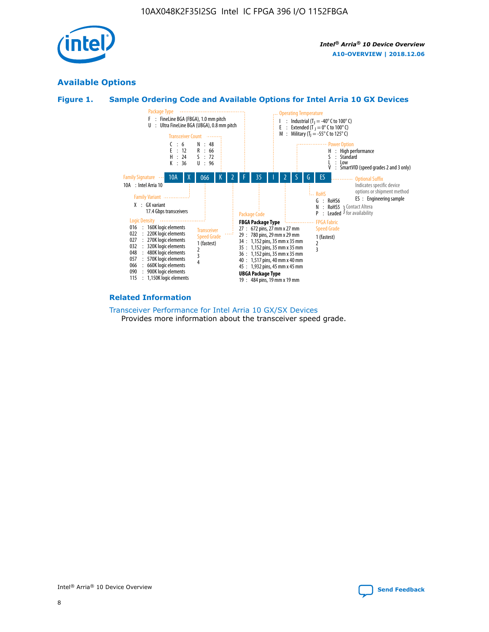

# **Available Options**





#### **Related Information**

[Transceiver Performance for Intel Arria 10 GX/SX Devices](https://www.intel.com/content/www/us/en/programmable/documentation/mcn1413182292568.html#mcn1413213965502) Provides more information about the transceiver speed grade.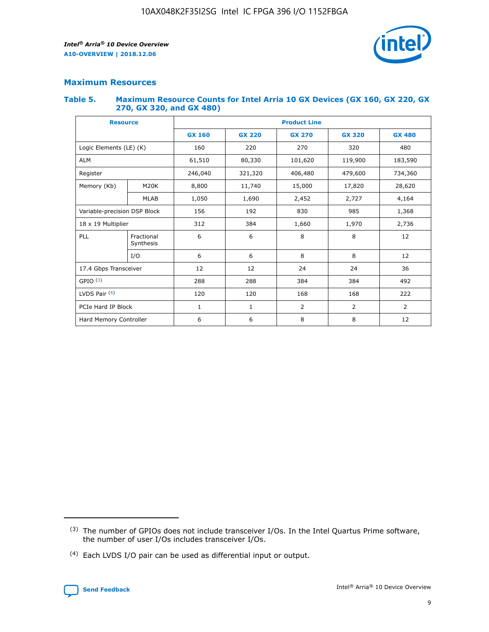

## **Maximum Resources**

#### **Table 5. Maximum Resource Counts for Intel Arria 10 GX Devices (GX 160, GX 220, GX 270, GX 320, and GX 480)**

| <b>Resource</b>         |                                                          | <b>Product Line</b> |                                                 |         |                |                |  |  |  |
|-------------------------|----------------------------------------------------------|---------------------|-------------------------------------------------|---------|----------------|----------------|--|--|--|
|                         |                                                          | <b>GX 160</b>       | <b>GX 220</b><br><b>GX 270</b><br><b>GX 320</b> |         |                | <b>GX 480</b>  |  |  |  |
| Logic Elements (LE) (K) |                                                          | 160                 | 220                                             | 270     | 320            | 480            |  |  |  |
| <b>ALM</b>              |                                                          | 61,510              | 80,330                                          | 101,620 | 119,900        | 183,590        |  |  |  |
| Register                |                                                          | 246,040             | 321,320                                         | 406,480 | 479,600        | 734,360        |  |  |  |
| Memory (Kb)             | M <sub>20</sub> K                                        | 8,800               | 11,740                                          | 15,000  | 17,820         | 28,620         |  |  |  |
| <b>MLAB</b>             |                                                          | 1,050               | 1,690                                           | 2,452   | 2,727          | 4,164          |  |  |  |
|                         | Variable-precision DSP Block<br>156<br>192<br>830<br>985 |                     |                                                 |         | 1,368          |                |  |  |  |
| 18 x 19 Multiplier      |                                                          | 312                 | 384                                             | 1,660   | 1,970          | 2,736          |  |  |  |
| PLL                     | Fractional<br>Synthesis                                  | 6                   | 6                                               | 8       | 8              | 12             |  |  |  |
|                         | I/O                                                      | 6                   | 6                                               | 8       | 8              | 12             |  |  |  |
| 17.4 Gbps Transceiver   |                                                          | 12                  | 12                                              | 24      | 24             | 36             |  |  |  |
| GPIO <sup>(3)</sup>     |                                                          | 288                 | 288                                             | 384     | 384            | 492            |  |  |  |
| LVDS Pair $(4)$         |                                                          | 120                 | 120                                             | 168     | 168            | 222            |  |  |  |
| PCIe Hard IP Block      |                                                          | 1                   | 1                                               | 2       | $\overline{2}$ | $\overline{2}$ |  |  |  |
| Hard Memory Controller  |                                                          | 6                   | 6                                               | 8       | 8              | 12             |  |  |  |

<sup>(4)</sup> Each LVDS I/O pair can be used as differential input or output.



<sup>(3)</sup> The number of GPIOs does not include transceiver I/Os. In the Intel Quartus Prime software, the number of user I/Os includes transceiver I/Os.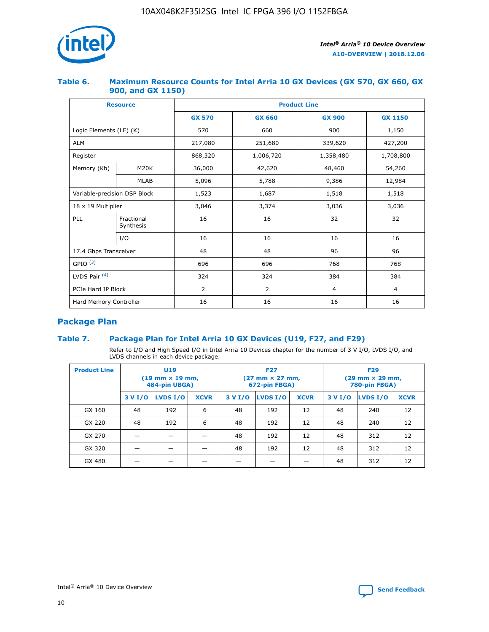

## **Table 6. Maximum Resource Counts for Intel Arria 10 GX Devices (GX 570, GX 660, GX 900, and GX 1150)**

|                              | <b>Resource</b>         | <b>Product Line</b> |               |                |                |  |  |  |
|------------------------------|-------------------------|---------------------|---------------|----------------|----------------|--|--|--|
|                              |                         | <b>GX 570</b>       | <b>GX 660</b> | <b>GX 900</b>  | <b>GX 1150</b> |  |  |  |
| Logic Elements (LE) (K)      |                         | 570                 | 660           | 900            | 1,150          |  |  |  |
| <b>ALM</b>                   |                         | 217,080             | 251,680       | 339,620        | 427,200        |  |  |  |
| Register                     |                         | 868,320             | 1,006,720     | 1,358,480      | 1,708,800      |  |  |  |
| Memory (Kb)<br><b>M20K</b>   |                         | 36,000              | 42,620        | 48,460         | 54,260         |  |  |  |
|                              | <b>MLAB</b>             | 5,096               | 5,788         | 9,386          | 12,984         |  |  |  |
| Variable-precision DSP Block |                         | 1,523               | 1,687         | 1,518          | 1,518          |  |  |  |
| 18 x 19 Multiplier           |                         | 3,046               | 3,374         | 3,036          | 3,036          |  |  |  |
| PLL                          | Fractional<br>Synthesis | 16                  | 16            | 32             | 32             |  |  |  |
|                              | I/O                     | 16                  | 16            | 16             | 16             |  |  |  |
| 17.4 Gbps Transceiver        |                         | 48                  | 48            | 96             | 96             |  |  |  |
| GPIO <sup>(3)</sup>          |                         | 696                 | 696           | 768            | 768            |  |  |  |
| LVDS Pair $(4)$              |                         | 324                 | 324           | 384            | 384            |  |  |  |
| PCIe Hard IP Block           |                         | 2                   | 2             | $\overline{4}$ | 4              |  |  |  |
| Hard Memory Controller       |                         | 16                  | 16            | 16             | 16             |  |  |  |

# **Package Plan**

# **Table 7. Package Plan for Intel Arria 10 GX Devices (U19, F27, and F29)**

Refer to I/O and High Speed I/O in Intel Arria 10 Devices chapter for the number of 3 V I/O, LVDS I/O, and LVDS channels in each device package.

| <b>Product Line</b> | U <sub>19</sub><br>$(19 \text{ mm} \times 19 \text{ mm})$<br>484-pin UBGA) |          |             |         | <b>F27</b><br>(27 mm × 27 mm,<br>672-pin FBGA) |             | <b>F29</b><br>(29 mm × 29 mm,<br>780-pin FBGA) |          |             |  |
|---------------------|----------------------------------------------------------------------------|----------|-------------|---------|------------------------------------------------|-------------|------------------------------------------------|----------|-------------|--|
|                     | 3 V I/O                                                                    | LVDS I/O | <b>XCVR</b> | 3 V I/O | <b>LVDS I/O</b>                                | <b>XCVR</b> | 3 V I/O                                        | LVDS I/O | <b>XCVR</b> |  |
| GX 160              | 48                                                                         | 192      | 6           | 48      | 192                                            | 12          | 48                                             | 240      | 12          |  |
| GX 220              | 48                                                                         | 192      | 6           | 48      | 192                                            | 12          | 48                                             | 240      | 12          |  |
| GX 270              |                                                                            |          |             | 48      | 192                                            | 12          | 48                                             | 312      | 12          |  |
| GX 320              |                                                                            |          |             | 48      | 192                                            | 12          | 48                                             | 312      | 12          |  |
| GX 480              |                                                                            |          |             |         |                                                |             | 48                                             | 312      | 12          |  |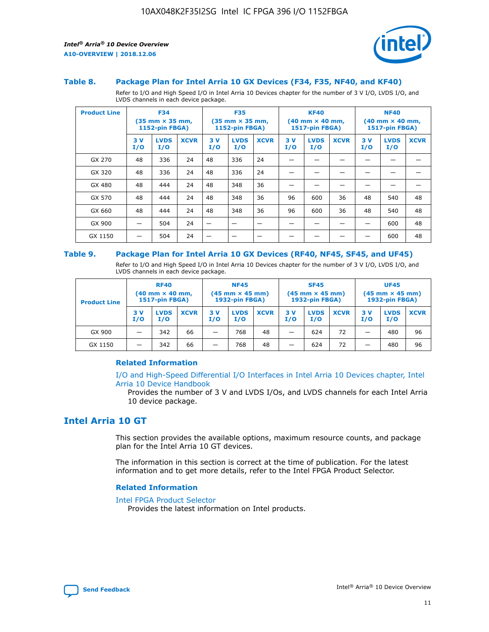



#### **Table 8. Package Plan for Intel Arria 10 GX Devices (F34, F35, NF40, and KF40)**

Refer to I/O and High Speed I/O in Intel Arria 10 Devices chapter for the number of 3 V I/O, LVDS I/O, and LVDS channels in each device package.

| <b>Product Line</b> | <b>F34</b><br>$(35 \text{ mm} \times 35 \text{ mm})$<br>1152-pin FBGA) |                    | <b>F35</b><br>$(35 \text{ mm} \times 35 \text{ mm})$<br><b>1152-pin FBGA)</b> |           | <b>KF40</b><br>$(40$ mm $\times$ 40 mm,<br>1517-pin FBGA) |             |           | <b>NF40</b><br>$(40$ mm $\times$ 40 mm,<br><b>1517-pin FBGA)</b> |             |            |                    |             |
|---------------------|------------------------------------------------------------------------|--------------------|-------------------------------------------------------------------------------|-----------|-----------------------------------------------------------|-------------|-----------|------------------------------------------------------------------|-------------|------------|--------------------|-------------|
|                     | 3V<br>I/O                                                              | <b>LVDS</b><br>I/O | <b>XCVR</b>                                                                   | 3V<br>I/O | <b>LVDS</b><br>I/O                                        | <b>XCVR</b> | 3V<br>I/O | <b>LVDS</b><br>I/O                                               | <b>XCVR</b> | 3 V<br>I/O | <b>LVDS</b><br>I/O | <b>XCVR</b> |
| GX 270              | 48                                                                     | 336                | 24                                                                            | 48        | 336                                                       | 24          |           |                                                                  |             |            |                    |             |
| GX 320              | 48                                                                     | 336                | 24                                                                            | 48        | 336                                                       | 24          |           |                                                                  |             |            |                    |             |
| GX 480              | 48                                                                     | 444                | 24                                                                            | 48        | 348                                                       | 36          |           |                                                                  |             |            |                    |             |
| GX 570              | 48                                                                     | 444                | 24                                                                            | 48        | 348                                                       | 36          | 96        | 600                                                              | 36          | 48         | 540                | 48          |
| GX 660              | 48                                                                     | 444                | 24                                                                            | 48        | 348                                                       | 36          | 96        | 600                                                              | 36          | 48         | 540                | 48          |
| GX 900              |                                                                        | 504                | 24                                                                            | -         |                                                           |             |           |                                                                  |             |            | 600                | 48          |
| GX 1150             |                                                                        | 504                | 24                                                                            |           |                                                           |             |           |                                                                  |             |            | 600                | 48          |

#### **Table 9. Package Plan for Intel Arria 10 GX Devices (RF40, NF45, SF45, and UF45)**

Refer to I/O and High Speed I/O in Intel Arria 10 Devices chapter for the number of 3 V I/O, LVDS I/O, and LVDS channels in each device package.

| <b>Product Line</b> | <b>RF40</b><br>$(40$ mm $\times$ 40 mm,<br>1517-pin FBGA) |                    |             | <b>NF45</b><br>$(45 \text{ mm} \times 45 \text{ mm})$<br><b>1932-pin FBGA)</b> |                    |             | <b>SF45</b><br>$(45 \text{ mm} \times 45 \text{ mm})$<br><b>1932-pin FBGA)</b> |                    |             | <b>UF45</b><br>$(45 \text{ mm} \times 45 \text{ mm})$<br><b>1932-pin FBGA)</b> |                    |             |
|---------------------|-----------------------------------------------------------|--------------------|-------------|--------------------------------------------------------------------------------|--------------------|-------------|--------------------------------------------------------------------------------|--------------------|-------------|--------------------------------------------------------------------------------|--------------------|-------------|
|                     | 3V<br>I/O                                                 | <b>LVDS</b><br>I/O | <b>XCVR</b> | 3 V<br>I/O                                                                     | <b>LVDS</b><br>I/O | <b>XCVR</b> | 3 V<br>I/O                                                                     | <b>LVDS</b><br>I/O | <b>XCVR</b> | 3V<br>I/O                                                                      | <b>LVDS</b><br>I/O | <b>XCVR</b> |
| GX 900              |                                                           | 342                | 66          | _                                                                              | 768                | 48          |                                                                                | 624                | 72          |                                                                                | 480                | 96          |
| GX 1150             |                                                           | 342                | 66          | _                                                                              | 768                | 48          |                                                                                | 624                | 72          |                                                                                | 480                | 96          |

#### **Related Information**

[I/O and High-Speed Differential I/O Interfaces in Intel Arria 10 Devices chapter, Intel](https://www.intel.com/content/www/us/en/programmable/documentation/sam1403482614086.html#sam1403482030321) [Arria 10 Device Handbook](https://www.intel.com/content/www/us/en/programmable/documentation/sam1403482614086.html#sam1403482030321)

Provides the number of 3 V and LVDS I/Os, and LVDS channels for each Intel Arria 10 device package.

# **Intel Arria 10 GT**

This section provides the available options, maximum resource counts, and package plan for the Intel Arria 10 GT devices.

The information in this section is correct at the time of publication. For the latest information and to get more details, refer to the Intel FPGA Product Selector.

#### **Related Information**

#### [Intel FPGA Product Selector](http://www.altera.com/products/selector/psg-selector.html)

Provides the latest information on Intel products.

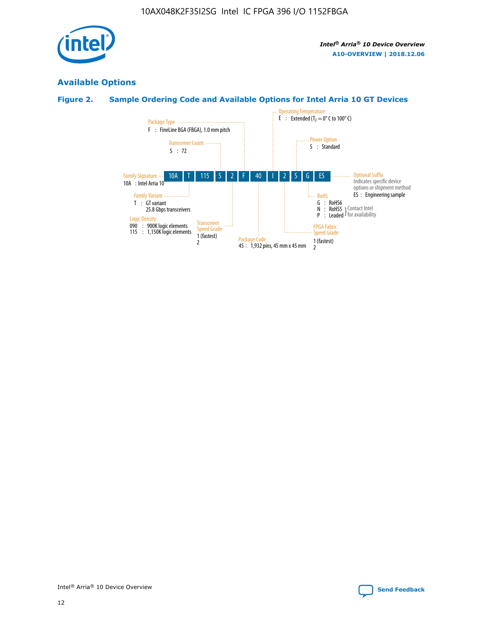

# **Available Options**

# **Figure 2. Sample Ordering Code and Available Options for Intel Arria 10 GT Devices**

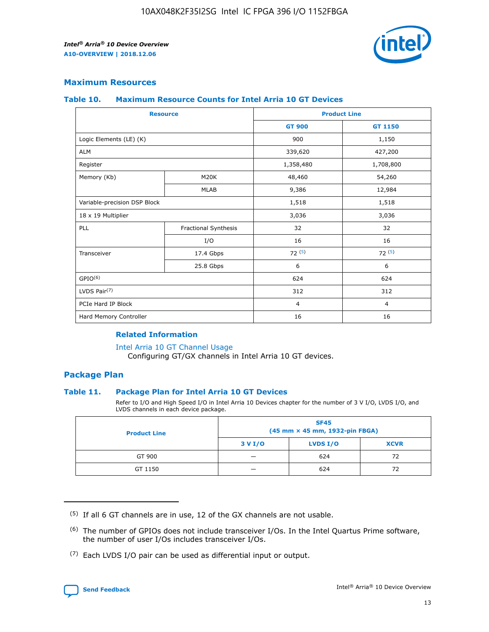

## **Maximum Resources**

#### **Table 10. Maximum Resource Counts for Intel Arria 10 GT Devices**

| <b>Resource</b>              |                      |                | <b>Product Line</b> |  |
|------------------------------|----------------------|----------------|---------------------|--|
|                              |                      | <b>GT 900</b>  | <b>GT 1150</b>      |  |
| Logic Elements (LE) (K)      |                      | 900            | 1,150               |  |
| <b>ALM</b>                   |                      | 339,620        | 427,200             |  |
| Register                     |                      | 1,358,480      | 1,708,800           |  |
| Memory (Kb)                  | M20K                 | 48,460         | 54,260              |  |
|                              | <b>MLAB</b>          | 9,386          | 12,984              |  |
| Variable-precision DSP Block |                      | 1,518          | 1,518               |  |
| 18 x 19 Multiplier           |                      | 3,036          | 3,036               |  |
| <b>PLL</b>                   | Fractional Synthesis | 32             | 32                  |  |
|                              | I/O                  | 16             | 16                  |  |
| Transceiver                  | 17.4 Gbps            | 72(5)          | 72(5)               |  |
|                              | 25.8 Gbps            | 6              | 6                   |  |
| GPIO <sup>(6)</sup>          |                      | 624            | 624                 |  |
| LVDS Pair $(7)$              |                      | 312            | 312                 |  |
| PCIe Hard IP Block           |                      | $\overline{4}$ | $\overline{4}$      |  |
| Hard Memory Controller       |                      | 16             | 16                  |  |

#### **Related Information**

#### [Intel Arria 10 GT Channel Usage](https://www.intel.com/content/www/us/en/programmable/documentation/nik1398707230472.html#nik1398707008178)

Configuring GT/GX channels in Intel Arria 10 GT devices.

## **Package Plan**

#### **Table 11. Package Plan for Intel Arria 10 GT Devices**

Refer to I/O and High Speed I/O in Intel Arria 10 Devices chapter for the number of 3 V I/O, LVDS I/O, and LVDS channels in each device package.

| <b>Product Line</b> | <b>SF45</b><br>(45 mm × 45 mm, 1932-pin FBGA) |                 |             |  |  |  |
|---------------------|-----------------------------------------------|-----------------|-------------|--|--|--|
|                     | 3 V I/O                                       | <b>LVDS I/O</b> | <b>XCVR</b> |  |  |  |
| GT 900              |                                               | 624             | 72          |  |  |  |
| GT 1150             |                                               | 624             | 72          |  |  |  |

<sup>(7)</sup> Each LVDS I/O pair can be used as differential input or output.



 $(5)$  If all 6 GT channels are in use, 12 of the GX channels are not usable.

<sup>(6)</sup> The number of GPIOs does not include transceiver I/Os. In the Intel Quartus Prime software, the number of user I/Os includes transceiver I/Os.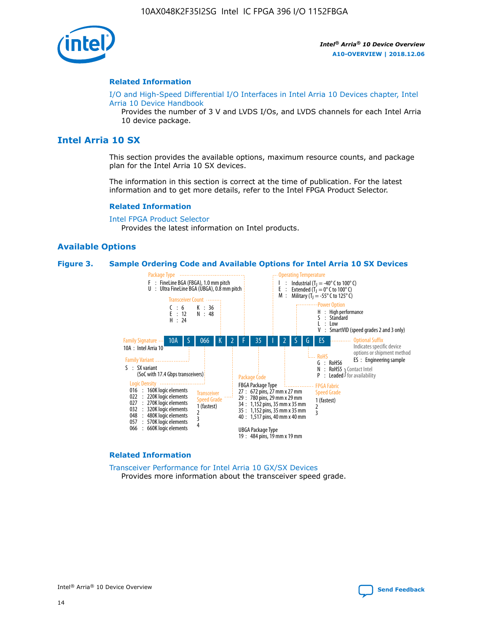

#### **Related Information**

[I/O and High-Speed Differential I/O Interfaces in Intel Arria 10 Devices chapter, Intel](https://www.intel.com/content/www/us/en/programmable/documentation/sam1403482614086.html#sam1403482030321) [Arria 10 Device Handbook](https://www.intel.com/content/www/us/en/programmable/documentation/sam1403482614086.html#sam1403482030321)

Provides the number of 3 V and LVDS I/Os, and LVDS channels for each Intel Arria 10 device package.

# **Intel Arria 10 SX**

This section provides the available options, maximum resource counts, and package plan for the Intel Arria 10 SX devices.

The information in this section is correct at the time of publication. For the latest information and to get more details, refer to the Intel FPGA Product Selector.

#### **Related Information**

[Intel FPGA Product Selector](http://www.altera.com/products/selector/psg-selector.html) Provides the latest information on Intel products.

#### **Available Options**

#### **Figure 3. Sample Ordering Code and Available Options for Intel Arria 10 SX Devices**



#### **Related Information**

[Transceiver Performance for Intel Arria 10 GX/SX Devices](https://www.intel.com/content/www/us/en/programmable/documentation/mcn1413182292568.html#mcn1413213965502) Provides more information about the transceiver speed grade.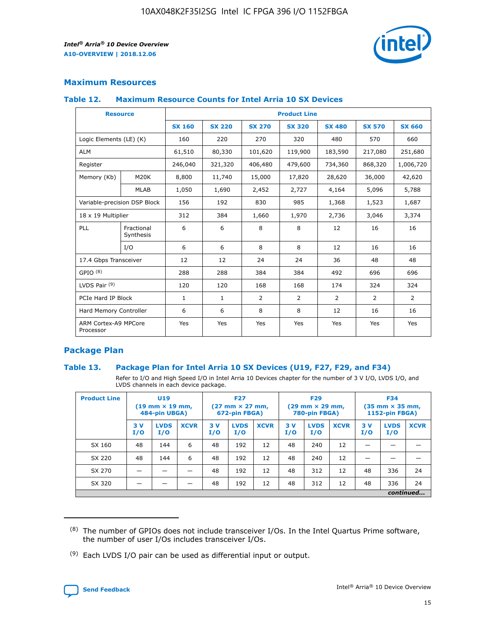

# **Maximum Resources**

#### **Table 12. Maximum Resource Counts for Intel Arria 10 SX Devices**

|                                   | <b>Resource</b>         | <b>Product Line</b> |               |                |                |                |                |                |  |  |  |
|-----------------------------------|-------------------------|---------------------|---------------|----------------|----------------|----------------|----------------|----------------|--|--|--|
|                                   |                         | <b>SX 160</b>       | <b>SX 220</b> | <b>SX 270</b>  | <b>SX 320</b>  | <b>SX 480</b>  | <b>SX 570</b>  | <b>SX 660</b>  |  |  |  |
| Logic Elements (LE) (K)           |                         | 160                 | 220           | 270            | 320            | 480            | 570            | 660            |  |  |  |
| <b>ALM</b>                        |                         | 61,510              | 80,330        | 101,620        | 119,900        | 183,590        | 217,080        | 251,680        |  |  |  |
| Register                          |                         | 246,040             | 321,320       | 406,480        | 479,600        | 734,360        | 868,320        | 1,006,720      |  |  |  |
| Memory (Kb)                       | M <sub>20</sub> K       | 8,800               | 11,740        | 15,000         | 17,820         | 28,620         | 36,000         | 42,620         |  |  |  |
|                                   | <b>MLAB</b>             | 1,050               | 1,690         | 2,452          | 2,727          | 4,164          | 5,096          | 5,788          |  |  |  |
| Variable-precision DSP Block      |                         | 156                 | 192           | 830            | 985            | 1,368          | 1,523          | 1,687          |  |  |  |
|                                   | 18 x 19 Multiplier      |                     | 384           | 1,660          | 1,970          | 2,736          | 3,046          | 3,374          |  |  |  |
| <b>PLL</b>                        | Fractional<br>Synthesis | 6                   | 6             | 8              | 8              | 12             | 16             | 16             |  |  |  |
|                                   | I/O                     | 6                   | 6             | 8              | 8              | 12             | 16             | 16             |  |  |  |
| 17.4 Gbps Transceiver             |                         | 12                  | 12            | 24             | 24             | 36             | 48             | 48             |  |  |  |
| GPIO <sup>(8)</sup>               |                         | 288                 | 288           | 384            | 384            | 492            | 696            | 696            |  |  |  |
| LVDS Pair $(9)$                   |                         | 120                 | 120           | 168            | 168            | 174            | 324            | 324            |  |  |  |
| PCIe Hard IP Block                |                         | $\mathbf{1}$        | $\mathbf{1}$  | $\overline{2}$ | $\overline{2}$ | $\overline{2}$ | $\overline{2}$ | $\overline{2}$ |  |  |  |
| Hard Memory Controller            |                         | 6                   | 6             | 8              | 8              | 12             | 16             | 16             |  |  |  |
| ARM Cortex-A9 MPCore<br>Processor |                         | Yes                 | Yes           | Yes            | Yes            | Yes            | Yes            | Yes            |  |  |  |

# **Package Plan**

#### **Table 13. Package Plan for Intel Arria 10 SX Devices (U19, F27, F29, and F34)**

Refer to I/O and High Speed I/O in Intel Arria 10 Devices chapter for the number of 3 V I/O, LVDS I/O, and LVDS channels in each device package.

| <b>Product Line</b> | U19<br>$(19 \text{ mm} \times 19 \text{ mm})$<br>484-pin UBGA) |                    |             | <b>F27</b><br>$(27 \text{ mm} \times 27 \text{ mm})$ .<br>672-pin FBGA) |                    | <b>F29</b><br>$(29 \text{ mm} \times 29 \text{ mm})$ .<br>780-pin FBGA) |            |                    | <b>F34</b><br>$(35 \text{ mm} \times 35 \text{ mm})$<br><b>1152-pin FBGA)</b> |           |                    |             |
|---------------------|----------------------------------------------------------------|--------------------|-------------|-------------------------------------------------------------------------|--------------------|-------------------------------------------------------------------------|------------|--------------------|-------------------------------------------------------------------------------|-----------|--------------------|-------------|
|                     | 3V<br>I/O                                                      | <b>LVDS</b><br>I/O | <b>XCVR</b> | 3V<br>I/O                                                               | <b>LVDS</b><br>I/O | <b>XCVR</b>                                                             | 3 V<br>I/O | <b>LVDS</b><br>I/O | <b>XCVR</b>                                                                   | 3V<br>I/O | <b>LVDS</b><br>I/O | <b>XCVR</b> |
| SX 160              | 48                                                             | 144                | 6           | 48                                                                      | 192                | 12                                                                      | 48         | 240                | 12                                                                            |           |                    |             |
| SX 220              | 48                                                             | 144                | 6           | 48                                                                      | 192                | 12                                                                      | 48         | 240                | 12                                                                            |           |                    |             |
| SX 270              |                                                                |                    |             | 48                                                                      | 192                | 12                                                                      | 48         | 312                | 12                                                                            | 48        | 336                | 24          |
| SX 320              |                                                                |                    |             | 48                                                                      | 192                | 12                                                                      | 48         | 312                | 12                                                                            | 48        | 336                | 24          |
|                     | continued                                                      |                    |             |                                                                         |                    |                                                                         |            |                    |                                                                               |           |                    |             |

 $(8)$  The number of GPIOs does not include transceiver I/Os. In the Intel Quartus Prime software, the number of user I/Os includes transceiver I/Os.

 $(9)$  Each LVDS I/O pair can be used as differential input or output.

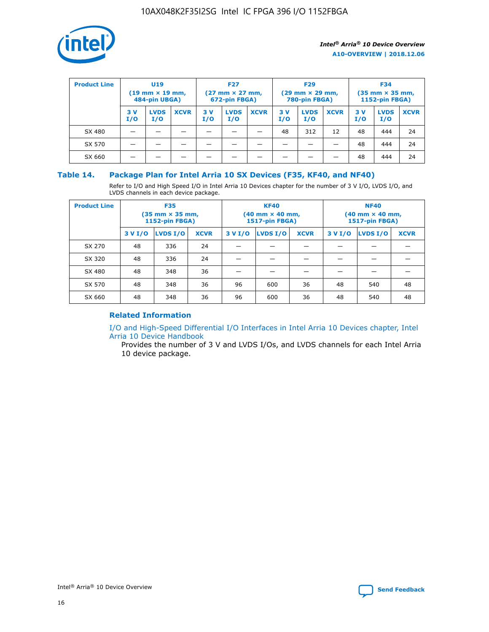

| <b>Product Line</b> | U <sub>19</sub><br>$(19 \text{ mm} \times 19 \text{ mm})$<br>484-pin UBGA) |                    | <b>F27</b><br>$(27 \text{ mm} \times 27 \text{ mm})$<br>672-pin FBGA) |           | <b>F29</b><br>$(29 \text{ mm} \times 29 \text{ mm})$<br>780-pin FBGA) |             |           | <b>F34</b><br>$(35$ mm $\times$ 35 mm,<br><b>1152-pin FBGA)</b> |             |           |                    |             |
|---------------------|----------------------------------------------------------------------------|--------------------|-----------------------------------------------------------------------|-----------|-----------------------------------------------------------------------|-------------|-----------|-----------------------------------------------------------------|-------------|-----------|--------------------|-------------|
|                     | 3V<br>I/O                                                                  | <b>LVDS</b><br>I/O | <b>XCVR</b>                                                           | 3V<br>I/O | <b>LVDS</b><br>I/O                                                    | <b>XCVR</b> | 3V<br>I/O | <b>LVDS</b><br>I/O                                              | <b>XCVR</b> | 3V<br>I/O | <b>LVDS</b><br>I/O | <b>XCVR</b> |
| SX 480              |                                                                            |                    |                                                                       |           |                                                                       |             | 48        | 312                                                             | 12          | 48        | 444                | 24          |
| SX 570              |                                                                            |                    |                                                                       |           |                                                                       |             |           |                                                                 |             | 48        | 444                | 24          |
| SX 660              |                                                                            |                    |                                                                       |           |                                                                       |             |           |                                                                 |             | 48        | 444                | 24          |

## **Table 14. Package Plan for Intel Arria 10 SX Devices (F35, KF40, and NF40)**

Refer to I/O and High Speed I/O in Intel Arria 10 Devices chapter for the number of 3 V I/O, LVDS I/O, and LVDS channels in each device package.

| <b>Product Line</b> | <b>F35</b><br>(35 mm × 35 mm,<br><b>1152-pin FBGA)</b> |          |             |                                           | <b>KF40</b><br>(40 mm × 40 mm,<br>1517-pin FBGA) |    | <b>NF40</b><br>$(40 \text{ mm} \times 40 \text{ mm})$<br><b>1517-pin FBGA)</b> |          |             |  |
|---------------------|--------------------------------------------------------|----------|-------------|-------------------------------------------|--------------------------------------------------|----|--------------------------------------------------------------------------------|----------|-------------|--|
|                     | 3 V I/O                                                | LVDS I/O | <b>XCVR</b> | <b>LVDS I/O</b><br><b>XCVR</b><br>3 V I/O |                                                  |    | 3 V I/O                                                                        | LVDS I/O | <b>XCVR</b> |  |
| SX 270              | 48                                                     | 336      | 24          |                                           |                                                  |    |                                                                                |          |             |  |
| SX 320              | 48                                                     | 336      | 24          |                                           |                                                  |    |                                                                                |          |             |  |
| SX 480              | 48                                                     | 348      | 36          |                                           |                                                  |    |                                                                                |          |             |  |
| SX 570              | 48                                                     | 348      | 36          | 96<br>36<br>600                           |                                                  | 48 | 540                                                                            | 48       |             |  |
| SX 660              | 48                                                     | 348      | 36          | 96                                        | 600                                              | 36 | 48                                                                             | 540      | 48          |  |

# **Related Information**

[I/O and High-Speed Differential I/O Interfaces in Intel Arria 10 Devices chapter, Intel](https://www.intel.com/content/www/us/en/programmable/documentation/sam1403482614086.html#sam1403482030321) [Arria 10 Device Handbook](https://www.intel.com/content/www/us/en/programmable/documentation/sam1403482614086.html#sam1403482030321)

Provides the number of 3 V and LVDS I/Os, and LVDS channels for each Intel Arria 10 device package.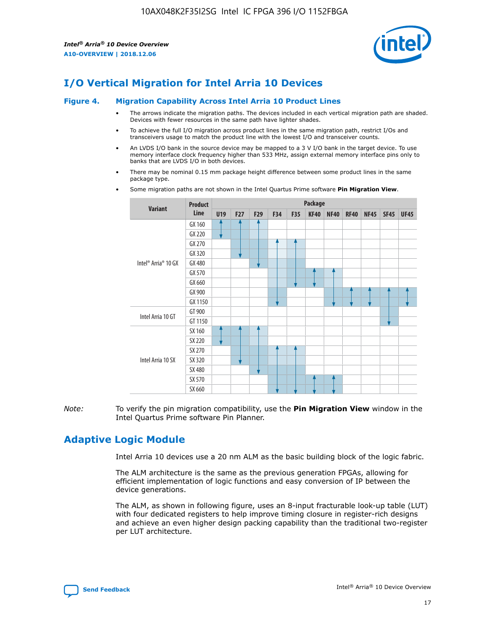

# **I/O Vertical Migration for Intel Arria 10 Devices**

#### **Figure 4. Migration Capability Across Intel Arria 10 Product Lines**

- The arrows indicate the migration paths. The devices included in each vertical migration path are shaded. Devices with fewer resources in the same path have lighter shades.
- To achieve the full I/O migration across product lines in the same migration path, restrict I/Os and transceivers usage to match the product line with the lowest I/O and transceiver counts.
- An LVDS I/O bank in the source device may be mapped to a 3 V I/O bank in the target device. To use memory interface clock frequency higher than 533 MHz, assign external memory interface pins only to banks that are LVDS I/O in both devices.
- There may be nominal 0.15 mm package height difference between some product lines in the same package type.
	- **Variant Product Line Package U19 F27 F29 F34 F35 KF40 NF40 RF40 NF45 SF45 UF45** Intel® Arria® 10 GX GX 160 GX 220 GX 270 GX 320 GX 480 GX 570 GX 660 GX 900 GX 1150 Intel Arria 10 GT GT 900 GT 1150 Intel Arria 10 SX SX 160 SX 220 SX 270 SX 320 SX 480 SX 570 SX 660
- Some migration paths are not shown in the Intel Quartus Prime software **Pin Migration View**.

*Note:* To verify the pin migration compatibility, use the **Pin Migration View** window in the Intel Quartus Prime software Pin Planner.

# **Adaptive Logic Module**

Intel Arria 10 devices use a 20 nm ALM as the basic building block of the logic fabric.

The ALM architecture is the same as the previous generation FPGAs, allowing for efficient implementation of logic functions and easy conversion of IP between the device generations.

The ALM, as shown in following figure, uses an 8-input fracturable look-up table (LUT) with four dedicated registers to help improve timing closure in register-rich designs and achieve an even higher design packing capability than the traditional two-register per LUT architecture.

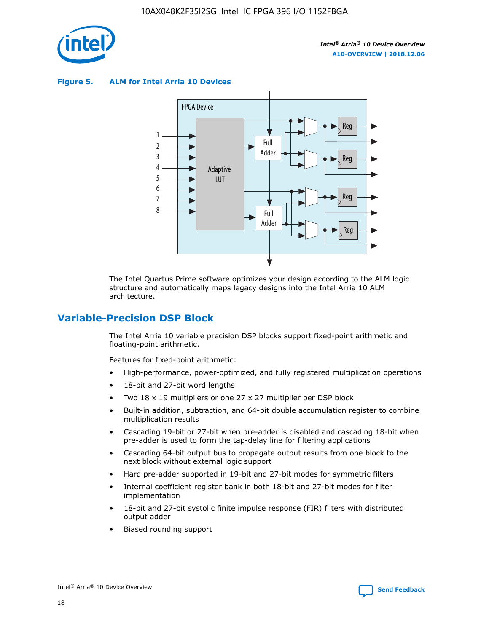

**Figure 5. ALM for Intel Arria 10 Devices**



The Intel Quartus Prime software optimizes your design according to the ALM logic structure and automatically maps legacy designs into the Intel Arria 10 ALM architecture.

# **Variable-Precision DSP Block**

The Intel Arria 10 variable precision DSP blocks support fixed-point arithmetic and floating-point arithmetic.

Features for fixed-point arithmetic:

- High-performance, power-optimized, and fully registered multiplication operations
- 18-bit and 27-bit word lengths
- Two 18 x 19 multipliers or one 27 x 27 multiplier per DSP block
- Built-in addition, subtraction, and 64-bit double accumulation register to combine multiplication results
- Cascading 19-bit or 27-bit when pre-adder is disabled and cascading 18-bit when pre-adder is used to form the tap-delay line for filtering applications
- Cascading 64-bit output bus to propagate output results from one block to the next block without external logic support
- Hard pre-adder supported in 19-bit and 27-bit modes for symmetric filters
- Internal coefficient register bank in both 18-bit and 27-bit modes for filter implementation
- 18-bit and 27-bit systolic finite impulse response (FIR) filters with distributed output adder
- Biased rounding support

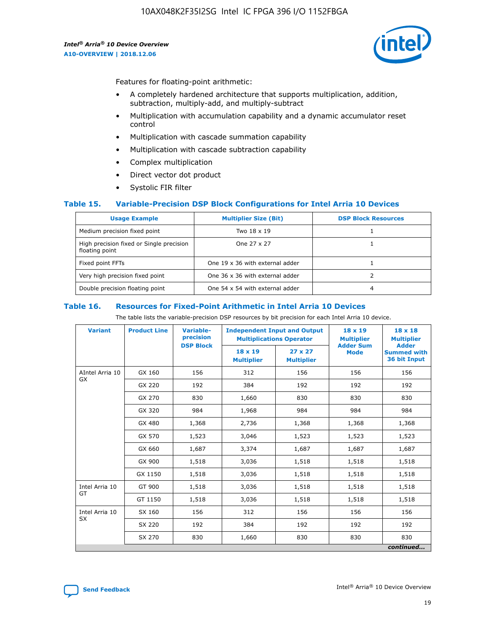

Features for floating-point arithmetic:

- A completely hardened architecture that supports multiplication, addition, subtraction, multiply-add, and multiply-subtract
- Multiplication with accumulation capability and a dynamic accumulator reset control
- Multiplication with cascade summation capability
- Multiplication with cascade subtraction capability
- Complex multiplication
- Direct vector dot product
- Systolic FIR filter

#### **Table 15. Variable-Precision DSP Block Configurations for Intel Arria 10 Devices**

| <b>Usage Example</b>                                       | <b>Multiplier Size (Bit)</b>    | <b>DSP Block Resources</b> |
|------------------------------------------------------------|---------------------------------|----------------------------|
| Medium precision fixed point                               | Two 18 x 19                     |                            |
| High precision fixed or Single precision<br>floating point | One 27 x 27                     |                            |
| Fixed point FFTs                                           | One 19 x 36 with external adder |                            |
| Very high precision fixed point                            | One 36 x 36 with external adder |                            |
| Double precision floating point                            | One 54 x 54 with external adder | 4                          |

#### **Table 16. Resources for Fixed-Point Arithmetic in Intel Arria 10 Devices**

The table lists the variable-precision DSP resources by bit precision for each Intel Arria 10 device.

| <b>Variant</b>        | <b>Product Line</b> | <b>Variable-</b><br>precision<br><b>DSP Block</b> | <b>Independent Input and Output</b><br><b>Multiplications Operator</b> |                                     | 18 x 19<br><b>Multiplier</b><br><b>Adder Sum</b> | $18 \times 18$<br><b>Multiplier</b><br><b>Adder</b> |
|-----------------------|---------------------|---------------------------------------------------|------------------------------------------------------------------------|-------------------------------------|--------------------------------------------------|-----------------------------------------------------|
|                       |                     |                                                   | 18 x 19<br><b>Multiplier</b>                                           | $27 \times 27$<br><b>Multiplier</b> | <b>Mode</b>                                      | <b>Summed with</b><br>36 bit Input                  |
| AIntel Arria 10<br>GX | GX 160              | 156                                               | 312                                                                    | 156                                 | 156                                              | 156                                                 |
|                       | GX 220              | 192                                               | 384                                                                    | 192                                 | 192                                              | 192                                                 |
|                       | GX 270              | 830                                               | 1,660                                                                  | 830                                 | 830                                              | 830                                                 |
|                       | GX 320              | 984                                               | 1,968                                                                  | 984                                 | 984                                              | 984                                                 |
|                       | GX 480              | 1,368                                             | 2,736                                                                  | 1,368                               | 1,368                                            | 1,368                                               |
|                       | GX 570              | 1,523                                             | 3,046                                                                  | 1,523                               | 1,523                                            | 1,523                                               |
|                       | GX 660              | 1,687                                             | 3,374                                                                  | 1,687                               | 1,687                                            | 1,687                                               |
|                       | GX 900              | 1,518                                             | 3,036                                                                  | 1,518                               | 1,518                                            | 1,518                                               |
|                       | GX 1150             | 1,518                                             | 3,036                                                                  | 1,518                               | 1,518                                            | 1,518                                               |
| Intel Arria 10        | GT 900              | 1,518                                             | 3,036                                                                  | 1,518                               | 1,518                                            | 1,518                                               |
| GT                    | GT 1150             | 1,518                                             | 3,036                                                                  | 1,518                               | 1,518                                            | 1,518                                               |
| Intel Arria 10        | SX 160              | 156                                               | 312                                                                    | 156                                 | 156                                              | 156                                                 |
| <b>SX</b>             | SX 220              | 192                                               | 384                                                                    | 192                                 | 192                                              | 192                                                 |
|                       | SX 270              | 830                                               | 1,660                                                                  | 830                                 | 830                                              | 830                                                 |
|                       |                     |                                                   |                                                                        |                                     |                                                  | continued                                           |

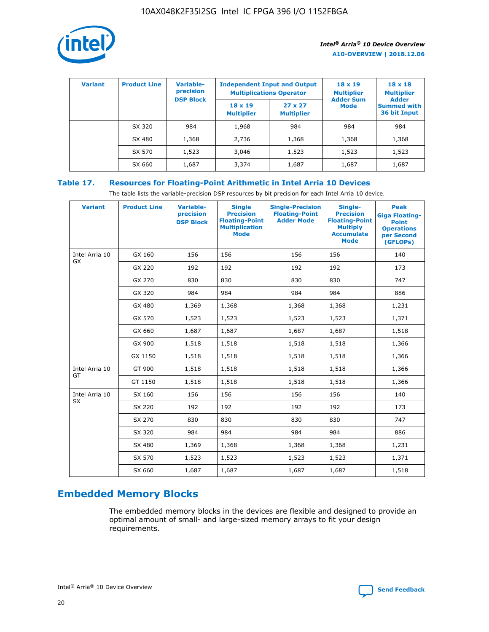

| <b>Variant</b> | <b>Product Line</b> | <b>Variable-</b><br>precision<br><b>DSP Block</b> | <b>Independent Input and Output</b><br><b>Multiplications Operator</b> |                                     | $18 \times 19$<br><b>Multiplier</b><br><b>Adder Sum</b> | $18 \times 18$<br><b>Multiplier</b><br><b>Adder</b> |  |
|----------------|---------------------|---------------------------------------------------|------------------------------------------------------------------------|-------------------------------------|---------------------------------------------------------|-----------------------------------------------------|--|
|                |                     |                                                   | $18 \times 19$<br><b>Multiplier</b>                                    | $27 \times 27$<br><b>Multiplier</b> | <b>Mode</b>                                             | <b>Summed with</b><br>36 bit Input                  |  |
|                | SX 320              | 984                                               | 1,968                                                                  | 984                                 | 984                                                     | 984                                                 |  |
|                | SX 480              | 1,368                                             | 2,736                                                                  | 1,368                               | 1,368                                                   | 1,368                                               |  |
|                | SX 570              | 1,523                                             | 3,046                                                                  | 1,523                               | 1,523                                                   | 1,523                                               |  |
|                | SX 660              | 1,687                                             | 3,374                                                                  | 1,687                               | 1,687                                                   | 1,687                                               |  |

# **Table 17. Resources for Floating-Point Arithmetic in Intel Arria 10 Devices**

The table lists the variable-precision DSP resources by bit precision for each Intel Arria 10 device.

| <b>Variant</b> | <b>Product Line</b> | <b>Variable-</b><br>precision<br><b>DSP Block</b> | <b>Single</b><br><b>Precision</b><br><b>Floating-Point</b><br><b>Multiplication</b><br><b>Mode</b> | <b>Single-Precision</b><br><b>Floating-Point</b><br><b>Adder Mode</b> | Single-<br><b>Precision</b><br><b>Floating-Point</b><br><b>Multiply</b><br><b>Accumulate</b><br><b>Mode</b> | <b>Peak</b><br><b>Giga Floating-</b><br><b>Point</b><br><b>Operations</b><br>per Second<br>(GFLOPs) |
|----------------|---------------------|---------------------------------------------------|----------------------------------------------------------------------------------------------------|-----------------------------------------------------------------------|-------------------------------------------------------------------------------------------------------------|-----------------------------------------------------------------------------------------------------|
| Intel Arria 10 | GX 160              | 156                                               | 156                                                                                                | 156                                                                   | 156                                                                                                         | 140                                                                                                 |
| <b>GX</b>      | GX 220              | 192                                               | 192                                                                                                | 192                                                                   | 192                                                                                                         | 173                                                                                                 |
|                | GX 270              | 830                                               | 830                                                                                                | 830                                                                   | 830                                                                                                         | 747                                                                                                 |
|                | GX 320              | 984                                               | 984                                                                                                | 984                                                                   | 984                                                                                                         | 886                                                                                                 |
|                | GX 480              | 1,369                                             | 1,368                                                                                              | 1,368                                                                 | 1,368                                                                                                       | 1,231                                                                                               |
|                | GX 570              | 1,523                                             | 1,523                                                                                              | 1,523                                                                 | 1,523                                                                                                       | 1,371                                                                                               |
|                | GX 660              | 1,687                                             | 1,687                                                                                              | 1,687                                                                 | 1,687                                                                                                       | 1,518                                                                                               |
|                | GX 900              | 1,518                                             | 1,518                                                                                              | 1,518                                                                 | 1,518                                                                                                       | 1,366                                                                                               |
|                | GX 1150             | 1,518                                             | 1,518                                                                                              | 1,518                                                                 | 1,518                                                                                                       | 1,366                                                                                               |
| Intel Arria 10 | GT 900              | 1,518                                             | 1,518                                                                                              | 1,518                                                                 | 1,518                                                                                                       | 1,366                                                                                               |
| GT             | GT 1150             | 1,518                                             | 1,518                                                                                              | 1,518                                                                 | 1,518                                                                                                       | 1,366                                                                                               |
| Intel Arria 10 | SX 160              | 156                                               | 156                                                                                                | 156                                                                   | 156                                                                                                         | 140                                                                                                 |
| SX             | SX 220              | 192                                               | 192                                                                                                | 192                                                                   | 192                                                                                                         | 173                                                                                                 |
|                | SX 270              | 830                                               | 830                                                                                                | 830                                                                   | 830                                                                                                         | 747                                                                                                 |
|                | SX 320              | 984                                               | 984                                                                                                | 984                                                                   | 984                                                                                                         | 886                                                                                                 |
|                | SX 480              | 1,369                                             | 1,368                                                                                              | 1,368                                                                 | 1,368                                                                                                       | 1,231                                                                                               |
|                | SX 570              | 1,523                                             | 1,523                                                                                              | 1,523                                                                 | 1,523                                                                                                       | 1,371                                                                                               |
|                | SX 660              | 1,687                                             | 1,687                                                                                              | 1,687                                                                 | 1,687                                                                                                       | 1,518                                                                                               |

# **Embedded Memory Blocks**

The embedded memory blocks in the devices are flexible and designed to provide an optimal amount of small- and large-sized memory arrays to fit your design requirements.

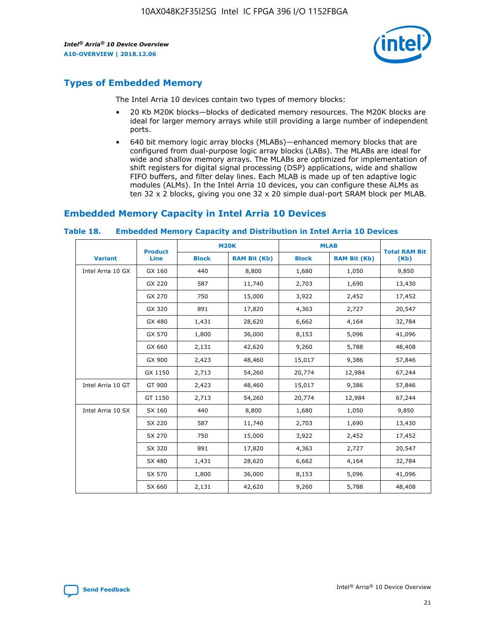

# **Types of Embedded Memory**

The Intel Arria 10 devices contain two types of memory blocks:

- 20 Kb M20K blocks—blocks of dedicated memory resources. The M20K blocks are ideal for larger memory arrays while still providing a large number of independent ports.
- 640 bit memory logic array blocks (MLABs)—enhanced memory blocks that are configured from dual-purpose logic array blocks (LABs). The MLABs are ideal for wide and shallow memory arrays. The MLABs are optimized for implementation of shift registers for digital signal processing (DSP) applications, wide and shallow FIFO buffers, and filter delay lines. Each MLAB is made up of ten adaptive logic modules (ALMs). In the Intel Arria 10 devices, you can configure these ALMs as ten 32 x 2 blocks, giving you one 32 x 20 simple dual-port SRAM block per MLAB.

# **Embedded Memory Capacity in Intel Arria 10 Devices**

|                   | <b>Product</b> |              | <b>M20K</b>         | <b>MLAB</b>  |                     | <b>Total RAM Bit</b> |
|-------------------|----------------|--------------|---------------------|--------------|---------------------|----------------------|
| <b>Variant</b>    | <b>Line</b>    | <b>Block</b> | <b>RAM Bit (Kb)</b> | <b>Block</b> | <b>RAM Bit (Kb)</b> | (Kb)                 |
| Intel Arria 10 GX | GX 160         | 440          | 8,800               | 1,680        | 1,050               | 9,850                |
|                   | GX 220         | 587          | 11,740              | 2,703        | 1,690               | 13,430               |
|                   | GX 270         | 750          | 15,000              | 3,922        | 2,452               | 17,452               |
|                   | GX 320         | 891          | 17,820              | 4,363        | 2,727               | 20,547               |
|                   | GX 480         | 1,431        | 28,620              | 6,662        | 4,164               | 32,784               |
|                   | GX 570         | 1,800        | 36,000              | 8,153        | 5,096               | 41,096               |
|                   | GX 660         | 2,131        | 42,620              | 9,260        | 5,788               | 48,408               |
|                   | GX 900         | 2,423        | 48,460              | 15,017       | 9,386               | 57,846               |
|                   | GX 1150        | 2,713        | 54,260              | 20,774       | 12,984              | 67,244               |
| Intel Arria 10 GT | GT 900         | 2,423        | 48,460              | 15,017       | 9,386               | 57,846               |
|                   | GT 1150        | 2,713        | 54,260              | 20,774       | 12,984              | 67,244               |
| Intel Arria 10 SX | SX 160         | 440          | 8,800               | 1,680        | 1,050               | 9,850                |
|                   | SX 220         | 587          | 11,740              | 2,703        | 1,690               | 13,430               |
|                   | SX 270         | 750          | 15,000              | 3,922        | 2,452               | 17,452               |
|                   | SX 320         | 891          | 17,820              | 4,363        | 2,727               | 20,547               |
|                   | SX 480         | 1,431        | 28,620              | 6,662        | 4,164               | 32,784               |
|                   | SX 570         | 1,800        | 36,000              | 8,153        | 5,096               | 41,096               |
|                   | SX 660         | 2,131        | 42,620              | 9,260        | 5,788               | 48,408               |

#### **Table 18. Embedded Memory Capacity and Distribution in Intel Arria 10 Devices**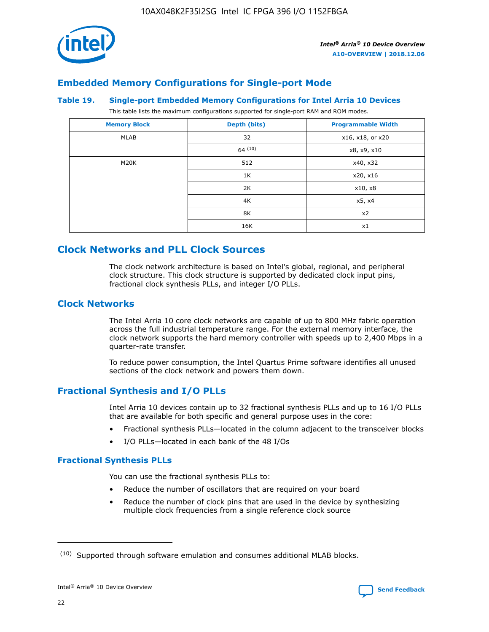

# **Embedded Memory Configurations for Single-port Mode**

#### **Table 19. Single-port Embedded Memory Configurations for Intel Arria 10 Devices**

This table lists the maximum configurations supported for single-port RAM and ROM modes.

| <b>Memory Block</b> | Depth (bits) | <b>Programmable Width</b> |
|---------------------|--------------|---------------------------|
| MLAB                | 32           | x16, x18, or x20          |
|                     | 64(10)       | x8, x9, x10               |
| M20K                | 512          | x40, x32                  |
|                     | 1K           | x20, x16                  |
|                     | 2K           | x10, x8                   |
|                     | 4K           | x5, x4                    |
|                     | 8K           | x2                        |
|                     | 16K          | x1                        |

# **Clock Networks and PLL Clock Sources**

The clock network architecture is based on Intel's global, regional, and peripheral clock structure. This clock structure is supported by dedicated clock input pins, fractional clock synthesis PLLs, and integer I/O PLLs.

## **Clock Networks**

The Intel Arria 10 core clock networks are capable of up to 800 MHz fabric operation across the full industrial temperature range. For the external memory interface, the clock network supports the hard memory controller with speeds up to 2,400 Mbps in a quarter-rate transfer.

To reduce power consumption, the Intel Quartus Prime software identifies all unused sections of the clock network and powers them down.

# **Fractional Synthesis and I/O PLLs**

Intel Arria 10 devices contain up to 32 fractional synthesis PLLs and up to 16 I/O PLLs that are available for both specific and general purpose uses in the core:

- Fractional synthesis PLLs—located in the column adjacent to the transceiver blocks
- I/O PLLs—located in each bank of the 48 I/Os

# **Fractional Synthesis PLLs**

You can use the fractional synthesis PLLs to:

- Reduce the number of oscillators that are required on your board
- Reduce the number of clock pins that are used in the device by synthesizing multiple clock frequencies from a single reference clock source

<sup>(10)</sup> Supported through software emulation and consumes additional MLAB blocks.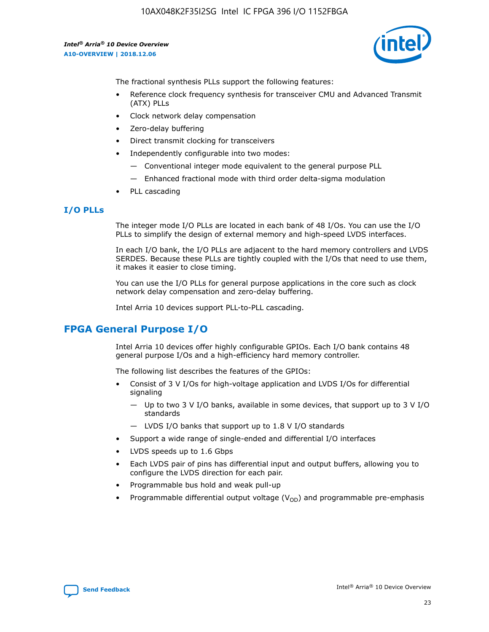

The fractional synthesis PLLs support the following features:

- Reference clock frequency synthesis for transceiver CMU and Advanced Transmit (ATX) PLLs
- Clock network delay compensation
- Zero-delay buffering
- Direct transmit clocking for transceivers
- Independently configurable into two modes:
	- Conventional integer mode equivalent to the general purpose PLL
	- Enhanced fractional mode with third order delta-sigma modulation
- PLL cascading

# **I/O PLLs**

The integer mode I/O PLLs are located in each bank of 48 I/Os. You can use the I/O PLLs to simplify the design of external memory and high-speed LVDS interfaces.

In each I/O bank, the I/O PLLs are adjacent to the hard memory controllers and LVDS SERDES. Because these PLLs are tightly coupled with the I/Os that need to use them, it makes it easier to close timing.

You can use the I/O PLLs for general purpose applications in the core such as clock network delay compensation and zero-delay buffering.

Intel Arria 10 devices support PLL-to-PLL cascading.

# **FPGA General Purpose I/O**

Intel Arria 10 devices offer highly configurable GPIOs. Each I/O bank contains 48 general purpose I/Os and a high-efficiency hard memory controller.

The following list describes the features of the GPIOs:

- Consist of 3 V I/Os for high-voltage application and LVDS I/Os for differential signaling
	- Up to two 3 V I/O banks, available in some devices, that support up to 3 V I/O standards
	- LVDS I/O banks that support up to 1.8 V I/O standards
- Support a wide range of single-ended and differential I/O interfaces
- LVDS speeds up to 1.6 Gbps
- Each LVDS pair of pins has differential input and output buffers, allowing you to configure the LVDS direction for each pair.
- Programmable bus hold and weak pull-up
- Programmable differential output voltage  $(V_{OD})$  and programmable pre-emphasis

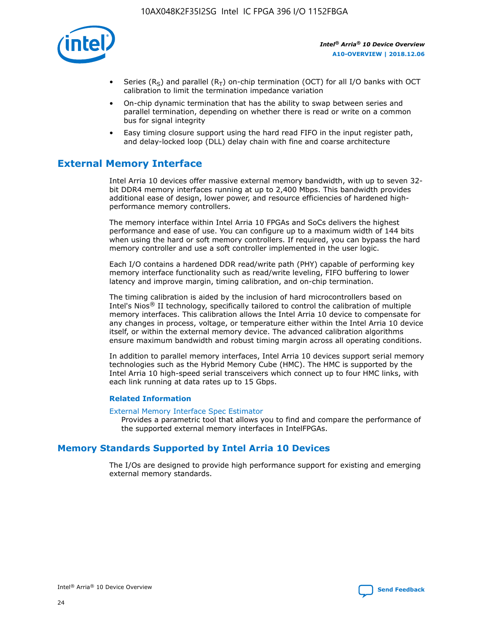

- Series (R<sub>S</sub>) and parallel (R<sub>T</sub>) on-chip termination (OCT) for all I/O banks with OCT calibration to limit the termination impedance variation
- On-chip dynamic termination that has the ability to swap between series and parallel termination, depending on whether there is read or write on a common bus for signal integrity
- Easy timing closure support using the hard read FIFO in the input register path, and delay-locked loop (DLL) delay chain with fine and coarse architecture

# **External Memory Interface**

Intel Arria 10 devices offer massive external memory bandwidth, with up to seven 32 bit DDR4 memory interfaces running at up to 2,400 Mbps. This bandwidth provides additional ease of design, lower power, and resource efficiencies of hardened highperformance memory controllers.

The memory interface within Intel Arria 10 FPGAs and SoCs delivers the highest performance and ease of use. You can configure up to a maximum width of 144 bits when using the hard or soft memory controllers. If required, you can bypass the hard memory controller and use a soft controller implemented in the user logic.

Each I/O contains a hardened DDR read/write path (PHY) capable of performing key memory interface functionality such as read/write leveling, FIFO buffering to lower latency and improve margin, timing calibration, and on-chip termination.

The timing calibration is aided by the inclusion of hard microcontrollers based on Intel's Nios® II technology, specifically tailored to control the calibration of multiple memory interfaces. This calibration allows the Intel Arria 10 device to compensate for any changes in process, voltage, or temperature either within the Intel Arria 10 device itself, or within the external memory device. The advanced calibration algorithms ensure maximum bandwidth and robust timing margin across all operating conditions.

In addition to parallel memory interfaces, Intel Arria 10 devices support serial memory technologies such as the Hybrid Memory Cube (HMC). The HMC is supported by the Intel Arria 10 high-speed serial transceivers which connect up to four HMC links, with each link running at data rates up to 15 Gbps.

#### **Related Information**

#### [External Memory Interface Spec Estimator](http://www.altera.com/technology/memory/estimator/mem-emif-index.html)

Provides a parametric tool that allows you to find and compare the performance of the supported external memory interfaces in IntelFPGAs.

# **Memory Standards Supported by Intel Arria 10 Devices**

The I/Os are designed to provide high performance support for existing and emerging external memory standards.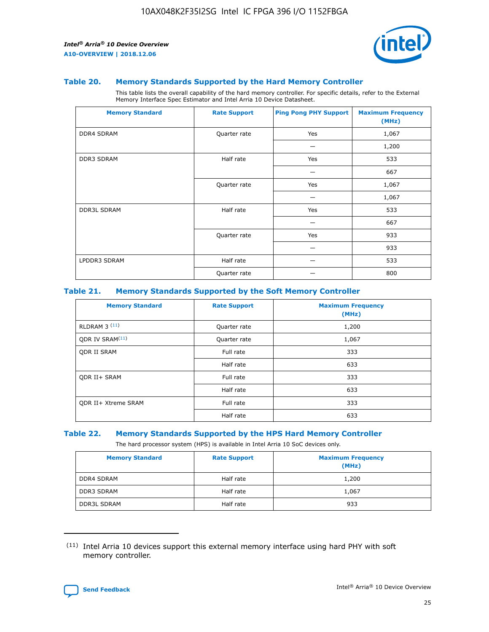

#### **Table 20. Memory Standards Supported by the Hard Memory Controller**

This table lists the overall capability of the hard memory controller. For specific details, refer to the External Memory Interface Spec Estimator and Intel Arria 10 Device Datasheet.

| <b>Memory Standard</b> | <b>Rate Support</b> | <b>Ping Pong PHY Support</b> | <b>Maximum Frequency</b><br>(MHz) |
|------------------------|---------------------|------------------------------|-----------------------------------|
| <b>DDR4 SDRAM</b>      | Quarter rate        | Yes                          | 1,067                             |
|                        |                     |                              | 1,200                             |
| <b>DDR3 SDRAM</b>      | Half rate           | Yes                          | 533                               |
|                        |                     |                              | 667                               |
|                        | Quarter rate        | Yes                          | 1,067                             |
|                        |                     |                              | 1,067                             |
| <b>DDR3L SDRAM</b>     | Half rate           | Yes                          | 533                               |
|                        |                     |                              | 667                               |
|                        | Quarter rate        | Yes                          | 933                               |
|                        |                     |                              | 933                               |
| LPDDR3 SDRAM           | Half rate           |                              | 533                               |
|                        | Quarter rate        |                              | 800                               |

#### **Table 21. Memory Standards Supported by the Soft Memory Controller**

| <b>Memory Standard</b>      | <b>Rate Support</b> | <b>Maximum Frequency</b><br>(MHz) |
|-----------------------------|---------------------|-----------------------------------|
| <b>RLDRAM 3 (11)</b>        | Quarter rate        | 1,200                             |
| ODR IV SRAM <sup>(11)</sup> | Quarter rate        | 1,067                             |
| <b>ODR II SRAM</b>          | Full rate           | 333                               |
|                             | Half rate           | 633                               |
| <b>ODR II+ SRAM</b>         | Full rate           | 333                               |
|                             | Half rate           | 633                               |
| <b>ODR II+ Xtreme SRAM</b>  | Full rate           | 333                               |
|                             | Half rate           | 633                               |

#### **Table 22. Memory Standards Supported by the HPS Hard Memory Controller**

The hard processor system (HPS) is available in Intel Arria 10 SoC devices only.

| <b>Memory Standard</b> | <b>Rate Support</b> | <b>Maximum Frequency</b><br>(MHz) |
|------------------------|---------------------|-----------------------------------|
| <b>DDR4 SDRAM</b>      | Half rate           | 1,200                             |
| <b>DDR3 SDRAM</b>      | Half rate           | 1,067                             |
| <b>DDR3L SDRAM</b>     | Half rate           | 933                               |

<sup>(11)</sup> Intel Arria 10 devices support this external memory interface using hard PHY with soft memory controller.

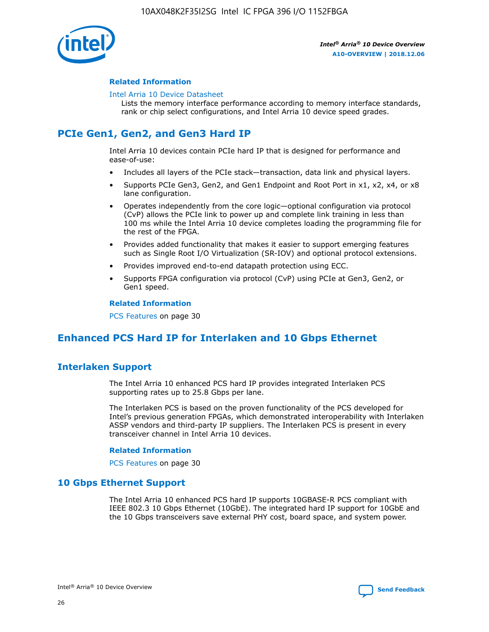

#### **Related Information**

#### [Intel Arria 10 Device Datasheet](https://www.intel.com/content/www/us/en/programmable/documentation/mcn1413182292568.html#mcn1413182153340)

Lists the memory interface performance according to memory interface standards, rank or chip select configurations, and Intel Arria 10 device speed grades.

# **PCIe Gen1, Gen2, and Gen3 Hard IP**

Intel Arria 10 devices contain PCIe hard IP that is designed for performance and ease-of-use:

- Includes all layers of the PCIe stack—transaction, data link and physical layers.
- Supports PCIe Gen3, Gen2, and Gen1 Endpoint and Root Port in x1, x2, x4, or x8 lane configuration.
- Operates independently from the core logic—optional configuration via protocol (CvP) allows the PCIe link to power up and complete link training in less than 100 ms while the Intel Arria 10 device completes loading the programming file for the rest of the FPGA.
- Provides added functionality that makes it easier to support emerging features such as Single Root I/O Virtualization (SR-IOV) and optional protocol extensions.
- Provides improved end-to-end datapath protection using ECC.
- Supports FPGA configuration via protocol (CvP) using PCIe at Gen3, Gen2, or Gen1 speed.

#### **Related Information**

PCS Features on page 30

# **Enhanced PCS Hard IP for Interlaken and 10 Gbps Ethernet**

# **Interlaken Support**

The Intel Arria 10 enhanced PCS hard IP provides integrated Interlaken PCS supporting rates up to 25.8 Gbps per lane.

The Interlaken PCS is based on the proven functionality of the PCS developed for Intel's previous generation FPGAs, which demonstrated interoperability with Interlaken ASSP vendors and third-party IP suppliers. The Interlaken PCS is present in every transceiver channel in Intel Arria 10 devices.

#### **Related Information**

PCS Features on page 30

# **10 Gbps Ethernet Support**

The Intel Arria 10 enhanced PCS hard IP supports 10GBASE-R PCS compliant with IEEE 802.3 10 Gbps Ethernet (10GbE). The integrated hard IP support for 10GbE and the 10 Gbps transceivers save external PHY cost, board space, and system power.

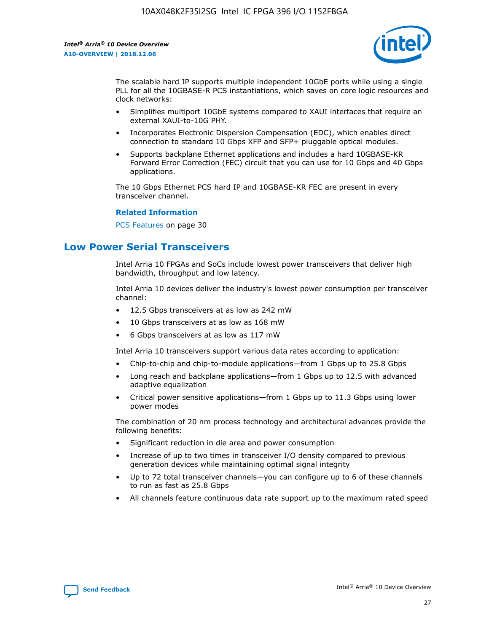

The scalable hard IP supports multiple independent 10GbE ports while using a single PLL for all the 10GBASE-R PCS instantiations, which saves on core logic resources and clock networks:

- Simplifies multiport 10GbE systems compared to XAUI interfaces that require an external XAUI-to-10G PHY.
- Incorporates Electronic Dispersion Compensation (EDC), which enables direct connection to standard 10 Gbps XFP and SFP+ pluggable optical modules.
- Supports backplane Ethernet applications and includes a hard 10GBASE-KR Forward Error Correction (FEC) circuit that you can use for 10 Gbps and 40 Gbps applications.

The 10 Gbps Ethernet PCS hard IP and 10GBASE-KR FEC are present in every transceiver channel.

#### **Related Information**

PCS Features on page 30

# **Low Power Serial Transceivers**

Intel Arria 10 FPGAs and SoCs include lowest power transceivers that deliver high bandwidth, throughput and low latency.

Intel Arria 10 devices deliver the industry's lowest power consumption per transceiver channel:

- 12.5 Gbps transceivers at as low as 242 mW
- 10 Gbps transceivers at as low as 168 mW
- 6 Gbps transceivers at as low as 117 mW

Intel Arria 10 transceivers support various data rates according to application:

- Chip-to-chip and chip-to-module applications—from 1 Gbps up to 25.8 Gbps
- Long reach and backplane applications—from 1 Gbps up to 12.5 with advanced adaptive equalization
- Critical power sensitive applications—from 1 Gbps up to 11.3 Gbps using lower power modes

The combination of 20 nm process technology and architectural advances provide the following benefits:

- Significant reduction in die area and power consumption
- Increase of up to two times in transceiver I/O density compared to previous generation devices while maintaining optimal signal integrity
- Up to 72 total transceiver channels—you can configure up to 6 of these channels to run as fast as 25.8 Gbps
- All channels feature continuous data rate support up to the maximum rated speed

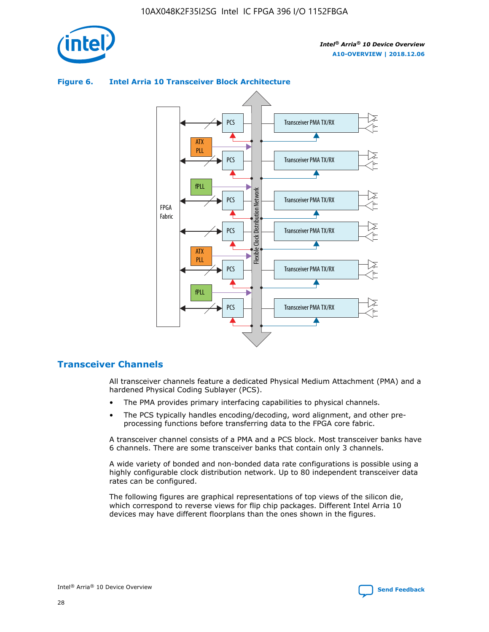

# Transceiver PMA TX/RX PCS ATX PLL Transceiver PMA TX/RX PCS fPLL Network Flexible Clock Distribution Network PCS Transceiver PMA TX/RX FPGA **Clock Distribution** Fabric PCS Transceiver PMA TX/RX ATX Flexible PLL PCS Transceiver PMA TX/RX ▲ fPLL Transceiver PMA TX/RX PCS 4

## **Figure 6. Intel Arria 10 Transceiver Block Architecture**

# **Transceiver Channels**

All transceiver channels feature a dedicated Physical Medium Attachment (PMA) and a hardened Physical Coding Sublayer (PCS).

- The PMA provides primary interfacing capabilities to physical channels.
- The PCS typically handles encoding/decoding, word alignment, and other preprocessing functions before transferring data to the FPGA core fabric.

A transceiver channel consists of a PMA and a PCS block. Most transceiver banks have 6 channels. There are some transceiver banks that contain only 3 channels.

A wide variety of bonded and non-bonded data rate configurations is possible using a highly configurable clock distribution network. Up to 80 independent transceiver data rates can be configured.

The following figures are graphical representations of top views of the silicon die, which correspond to reverse views for flip chip packages. Different Intel Arria 10 devices may have different floorplans than the ones shown in the figures.

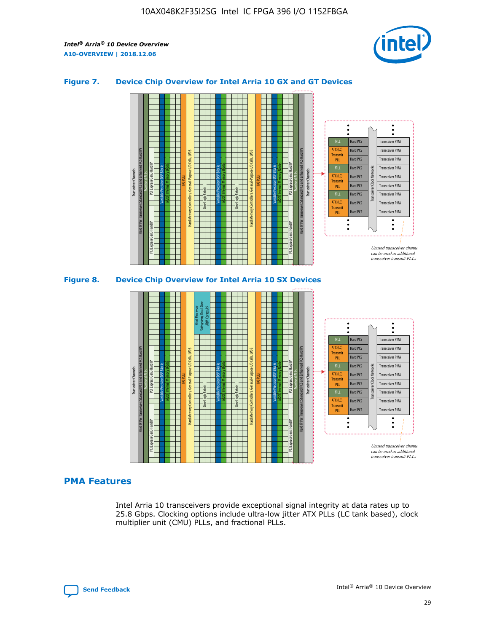

## **Figure 7. Device Chip Overview for Intel Arria 10 GX and GT Devices**





#### **PMA Features**

Intel Arria 10 transceivers provide exceptional signal integrity at data rates up to 25.8 Gbps. Clocking options include ultra-low jitter ATX PLLs (LC tank based), clock multiplier unit (CMU) PLLs, and fractional PLLs.

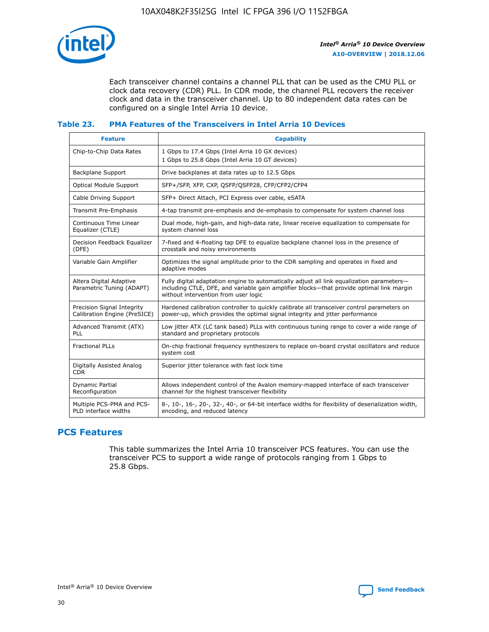

Each transceiver channel contains a channel PLL that can be used as the CMU PLL or clock data recovery (CDR) PLL. In CDR mode, the channel PLL recovers the receiver clock and data in the transceiver channel. Up to 80 independent data rates can be configured on a single Intel Arria 10 device.

## **Table 23. PMA Features of the Transceivers in Intel Arria 10 Devices**

| <b>Feature</b>                                             | <b>Capability</b>                                                                                                                                                                                                             |
|------------------------------------------------------------|-------------------------------------------------------------------------------------------------------------------------------------------------------------------------------------------------------------------------------|
| Chip-to-Chip Data Rates                                    | 1 Gbps to 17.4 Gbps (Intel Arria 10 GX devices)<br>1 Gbps to 25.8 Gbps (Intel Arria 10 GT devices)                                                                                                                            |
| Backplane Support                                          | Drive backplanes at data rates up to 12.5 Gbps                                                                                                                                                                                |
| Optical Module Support                                     | SFP+/SFP, XFP, CXP, QSFP/QSFP28, CFP/CFP2/CFP4                                                                                                                                                                                |
| Cable Driving Support                                      | SFP+ Direct Attach, PCI Express over cable, eSATA                                                                                                                                                                             |
| Transmit Pre-Emphasis                                      | 4-tap transmit pre-emphasis and de-emphasis to compensate for system channel loss                                                                                                                                             |
| Continuous Time Linear<br>Equalizer (CTLE)                 | Dual mode, high-gain, and high-data rate, linear receive equalization to compensate for<br>system channel loss                                                                                                                |
| Decision Feedback Equalizer<br>(DFE)                       | 7-fixed and 4-floating tap DFE to equalize backplane channel loss in the presence of<br>crosstalk and noisy environments                                                                                                      |
| Variable Gain Amplifier                                    | Optimizes the signal amplitude prior to the CDR sampling and operates in fixed and<br>adaptive modes                                                                                                                          |
| Altera Digital Adaptive<br>Parametric Tuning (ADAPT)       | Fully digital adaptation engine to automatically adjust all link equalization parameters-<br>including CTLE, DFE, and variable gain amplifier blocks—that provide optimal link margin<br>without intervention from user logic |
| Precision Signal Integrity<br>Calibration Engine (PreSICE) | Hardened calibration controller to quickly calibrate all transceiver control parameters on<br>power-up, which provides the optimal signal integrity and jitter performance                                                    |
| Advanced Transmit (ATX)<br>PLL                             | Low jitter ATX (LC tank based) PLLs with continuous tuning range to cover a wide range of<br>standard and proprietary protocols                                                                                               |
| <b>Fractional PLLs</b>                                     | On-chip fractional frequency synthesizers to replace on-board crystal oscillators and reduce<br>system cost                                                                                                                   |
| Digitally Assisted Analog<br><b>CDR</b>                    | Superior jitter tolerance with fast lock time                                                                                                                                                                                 |
| <b>Dynamic Partial</b><br>Reconfiguration                  | Allows independent control of the Avalon memory-mapped interface of each transceiver<br>channel for the highest transceiver flexibility                                                                                       |
| Multiple PCS-PMA and PCS-<br>PLD interface widths          | 8-, 10-, 16-, 20-, 32-, 40-, or 64-bit interface widths for flexibility of deserialization width,<br>encoding, and reduced latency                                                                                            |

# **PCS Features**

This table summarizes the Intel Arria 10 transceiver PCS features. You can use the transceiver PCS to support a wide range of protocols ranging from 1 Gbps to 25.8 Gbps.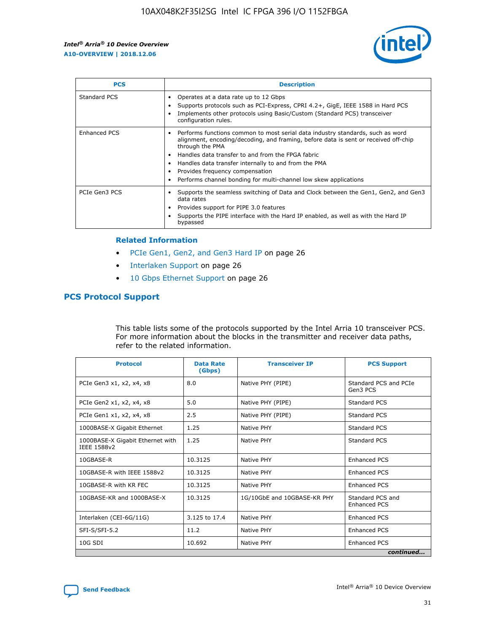

| <b>PCS</b>          | <b>Description</b>                                                                                                                                                                                                                                                                                                                                                                                             |
|---------------------|----------------------------------------------------------------------------------------------------------------------------------------------------------------------------------------------------------------------------------------------------------------------------------------------------------------------------------------------------------------------------------------------------------------|
| Standard PCS        | Operates at a data rate up to 12 Gbps<br>Supports protocols such as PCI-Express, CPRI 4.2+, GigE, IEEE 1588 in Hard PCS<br>Implements other protocols using Basic/Custom (Standard PCS) transceiver<br>configuration rules.                                                                                                                                                                                    |
| <b>Enhanced PCS</b> | Performs functions common to most serial data industry standards, such as word<br>alignment, encoding/decoding, and framing, before data is sent or received off-chip<br>through the PMA<br>• Handles data transfer to and from the FPGA fabric<br>Handles data transfer internally to and from the PMA<br>Provides frequency compensation<br>Performs channel bonding for multi-channel low skew applications |
| PCIe Gen3 PCS       | Supports the seamless switching of Data and Clock between the Gen1, Gen2, and Gen3<br>data rates<br>Provides support for PIPE 3.0 features<br>Supports the PIPE interface with the Hard IP enabled, as well as with the Hard IP<br>bypassed                                                                                                                                                                    |

#### **Related Information**

- PCIe Gen1, Gen2, and Gen3 Hard IP on page 26
- Interlaken Support on page 26
- 10 Gbps Ethernet Support on page 26

# **PCS Protocol Support**

This table lists some of the protocols supported by the Intel Arria 10 transceiver PCS. For more information about the blocks in the transmitter and receiver data paths, refer to the related information.

| <b>Protocol</b>                                 | <b>Data Rate</b><br>(Gbps) | <b>Transceiver IP</b>       | <b>PCS Support</b>                      |
|-------------------------------------------------|----------------------------|-----------------------------|-----------------------------------------|
| PCIe Gen3 x1, x2, x4, x8                        | 8.0                        | Native PHY (PIPE)           | Standard PCS and PCIe<br>Gen3 PCS       |
| PCIe Gen2 x1, x2, x4, x8                        | 5.0                        | Native PHY (PIPE)           | <b>Standard PCS</b>                     |
| PCIe Gen1 x1, x2, x4, x8                        | 2.5                        | Native PHY (PIPE)           | Standard PCS                            |
| 1000BASE-X Gigabit Ethernet                     | 1.25                       | Native PHY                  | <b>Standard PCS</b>                     |
| 1000BASE-X Gigabit Ethernet with<br>IEEE 1588v2 | 1.25                       | Native PHY                  | Standard PCS                            |
| 10GBASE-R                                       | 10.3125                    | Native PHY                  | <b>Enhanced PCS</b>                     |
| 10GBASE-R with IEEE 1588v2                      | 10.3125                    | Native PHY                  | <b>Enhanced PCS</b>                     |
| 10GBASE-R with KR FEC                           | 10.3125                    | Native PHY                  | <b>Enhanced PCS</b>                     |
| 10GBASE-KR and 1000BASE-X                       | 10.3125                    | 1G/10GbE and 10GBASE-KR PHY | Standard PCS and<br><b>Enhanced PCS</b> |
| Interlaken (CEI-6G/11G)                         | 3.125 to 17.4              | Native PHY                  | <b>Enhanced PCS</b>                     |
| SFI-S/SFI-5.2                                   | 11.2                       | Native PHY                  | <b>Enhanced PCS</b>                     |
| $10G$ SDI                                       | 10.692                     | Native PHY                  | <b>Enhanced PCS</b>                     |
|                                                 |                            |                             | continued                               |

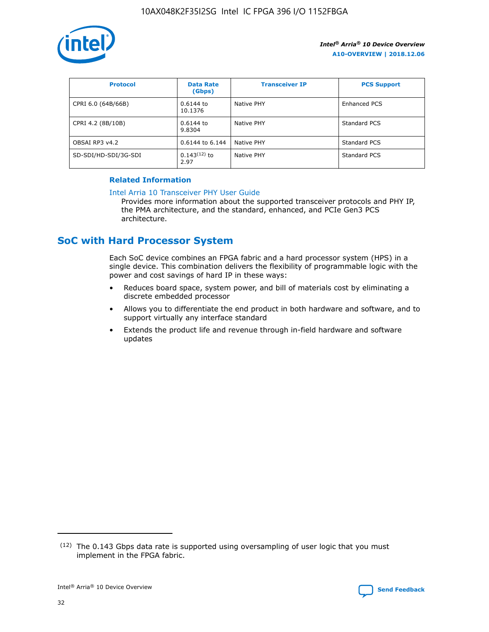

| <b>Protocol</b>      | <b>Data Rate</b><br>(Gbps) | <b>Transceiver IP</b> | <b>PCS Support</b> |
|----------------------|----------------------------|-----------------------|--------------------|
| CPRI 6.0 (64B/66B)   | 0.6144 to<br>10.1376       | Native PHY            | Enhanced PCS       |
| CPRI 4.2 (8B/10B)    | 0.6144 to<br>9.8304        | Native PHY            | Standard PCS       |
| OBSAI RP3 v4.2       | 0.6144 to 6.144            | Native PHY            | Standard PCS       |
| SD-SDI/HD-SDI/3G-SDI | $0.143(12)$ to<br>2.97     | Native PHY            | Standard PCS       |

# **Related Information**

#### [Intel Arria 10 Transceiver PHY User Guide](https://www.intel.com/content/www/us/en/programmable/documentation/nik1398707230472.html#nik1398707091164)

Provides more information about the supported transceiver protocols and PHY IP, the PMA architecture, and the standard, enhanced, and PCIe Gen3 PCS architecture.

# **SoC with Hard Processor System**

Each SoC device combines an FPGA fabric and a hard processor system (HPS) in a single device. This combination delivers the flexibility of programmable logic with the power and cost savings of hard IP in these ways:

- Reduces board space, system power, and bill of materials cost by eliminating a discrete embedded processor
- Allows you to differentiate the end product in both hardware and software, and to support virtually any interface standard
- Extends the product life and revenue through in-field hardware and software updates

 $(12)$  The 0.143 Gbps data rate is supported using oversampling of user logic that you must implement in the FPGA fabric.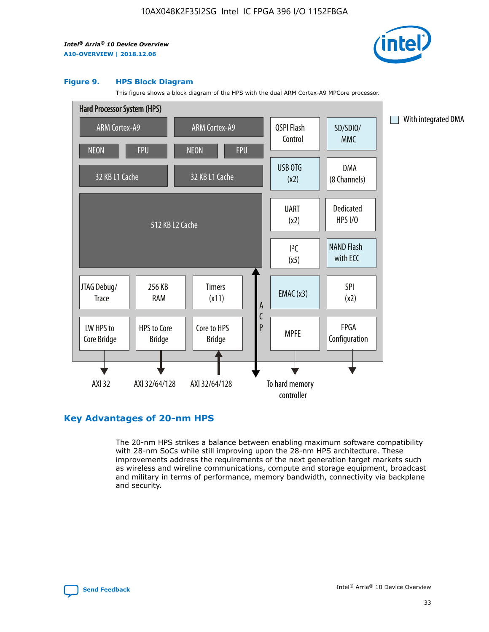

#### **Figure 9. HPS Block Diagram**

This figure shows a block diagram of the HPS with the dual ARM Cortex-A9 MPCore processor.



# **Key Advantages of 20-nm HPS**

The 20-nm HPS strikes a balance between enabling maximum software compatibility with 28-nm SoCs while still improving upon the 28-nm HPS architecture. These improvements address the requirements of the next generation target markets such as wireless and wireline communications, compute and storage equipment, broadcast and military in terms of performance, memory bandwidth, connectivity via backplane and security.

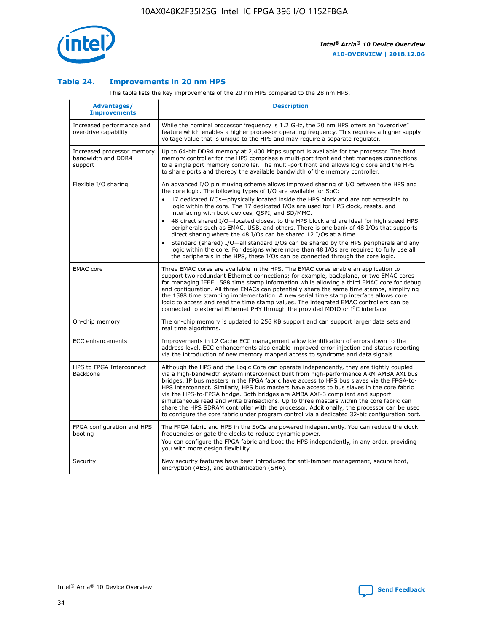

## **Table 24. Improvements in 20 nm HPS**

This table lists the key improvements of the 20 nm HPS compared to the 28 nm HPS.

| Advantages/<br><b>Improvements</b>                          | <b>Description</b>                                                                                                                                                                                                                                                                                                                                                                                                                                                                                                                                                                                                                                                                                                                                                                                                                                                                                                      |
|-------------------------------------------------------------|-------------------------------------------------------------------------------------------------------------------------------------------------------------------------------------------------------------------------------------------------------------------------------------------------------------------------------------------------------------------------------------------------------------------------------------------------------------------------------------------------------------------------------------------------------------------------------------------------------------------------------------------------------------------------------------------------------------------------------------------------------------------------------------------------------------------------------------------------------------------------------------------------------------------------|
| Increased performance and<br>overdrive capability           | While the nominal processor frequency is 1.2 GHz, the 20 nm HPS offers an "overdrive"<br>feature which enables a higher processor operating frequency. This requires a higher supply<br>voltage value that is unique to the HPS and may require a separate regulator.                                                                                                                                                                                                                                                                                                                                                                                                                                                                                                                                                                                                                                                   |
| Increased processor memory<br>bandwidth and DDR4<br>support | Up to 64-bit DDR4 memory at 2,400 Mbps support is available for the processor. The hard<br>memory controller for the HPS comprises a multi-port front end that manages connections<br>to a single port memory controller. The multi-port front end allows logic core and the HPS<br>to share ports and thereby the available bandwidth of the memory controller.                                                                                                                                                                                                                                                                                                                                                                                                                                                                                                                                                        |
| Flexible I/O sharing                                        | An advanced I/O pin muxing scheme allows improved sharing of I/O between the HPS and<br>the core logic. The following types of I/O are available for SoC:<br>17 dedicated I/Os-physically located inside the HPS block and are not accessible to<br>logic within the core. The 17 dedicated I/Os are used for HPS clock, resets, and<br>interfacing with boot devices, QSPI, and SD/MMC.<br>48 direct shared I/O-located closest to the HPS block and are ideal for high speed HPS<br>peripherals such as EMAC, USB, and others. There is one bank of 48 I/Os that supports<br>direct sharing where the 48 I/Os can be shared 12 I/Os at a time.<br>Standard (shared) I/O-all standard I/Os can be shared by the HPS peripherals and any<br>logic within the core. For designs where more than 48 I/Os are reguired to fully use all<br>the peripherals in the HPS, these I/Os can be connected through the core logic. |
| <b>EMAC</b> core                                            | Three EMAC cores are available in the HPS. The EMAC cores enable an application to<br>support two redundant Ethernet connections; for example, backplane, or two EMAC cores<br>for managing IEEE 1588 time stamp information while allowing a third EMAC core for debug<br>and configuration. All three EMACs can potentially share the same time stamps, simplifying<br>the 1588 time stamping implementation. A new serial time stamp interface allows core<br>logic to access and read the time stamp values. The integrated EMAC controllers can be<br>connected to external Ethernet PHY through the provided MDIO or I <sup>2</sup> C interface.                                                                                                                                                                                                                                                                  |
| On-chip memory                                              | The on-chip memory is updated to 256 KB support and can support larger data sets and<br>real time algorithms.                                                                                                                                                                                                                                                                                                                                                                                                                                                                                                                                                                                                                                                                                                                                                                                                           |
| <b>ECC</b> enhancements                                     | Improvements in L2 Cache ECC management allow identification of errors down to the<br>address level. ECC enhancements also enable improved error injection and status reporting<br>via the introduction of new memory mapped access to syndrome and data signals.                                                                                                                                                                                                                                                                                                                                                                                                                                                                                                                                                                                                                                                       |
| HPS to FPGA Interconnect<br>Backbone                        | Although the HPS and the Logic Core can operate independently, they are tightly coupled<br>via a high-bandwidth system interconnect built from high-performance ARM AMBA AXI bus<br>bridges. IP bus masters in the FPGA fabric have access to HPS bus slaves via the FPGA-to-<br>HPS interconnect. Similarly, HPS bus masters have access to bus slaves in the core fabric<br>via the HPS-to-FPGA bridge. Both bridges are AMBA AXI-3 compliant and support<br>simultaneous read and write transactions. Up to three masters within the core fabric can<br>share the HPS SDRAM controller with the processor. Additionally, the processor can be used<br>to configure the core fabric under program control via a dedicated 32-bit configuration port.                                                                                                                                                                  |
| FPGA configuration and HPS<br>booting                       | The FPGA fabric and HPS in the SoCs are powered independently. You can reduce the clock<br>frequencies or gate the clocks to reduce dynamic power.<br>You can configure the FPGA fabric and boot the HPS independently, in any order, providing<br>you with more design flexibility.                                                                                                                                                                                                                                                                                                                                                                                                                                                                                                                                                                                                                                    |
| Security                                                    | New security features have been introduced for anti-tamper management, secure boot,<br>encryption (AES), and authentication (SHA).                                                                                                                                                                                                                                                                                                                                                                                                                                                                                                                                                                                                                                                                                                                                                                                      |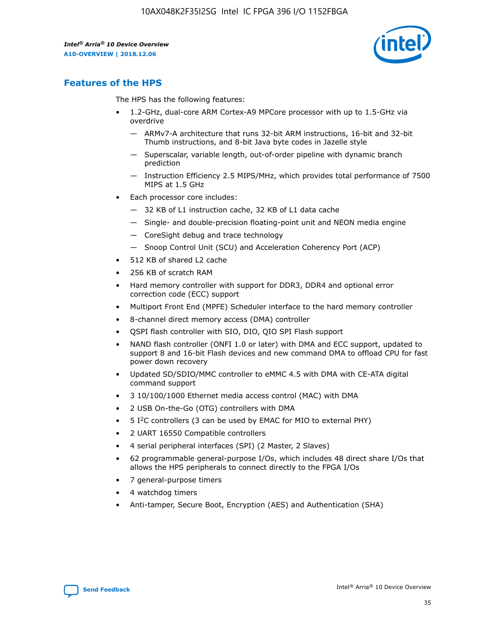

# **Features of the HPS**

The HPS has the following features:

- 1.2-GHz, dual-core ARM Cortex-A9 MPCore processor with up to 1.5-GHz via overdrive
	- ARMv7-A architecture that runs 32-bit ARM instructions, 16-bit and 32-bit Thumb instructions, and 8-bit Java byte codes in Jazelle style
	- Superscalar, variable length, out-of-order pipeline with dynamic branch prediction
	- Instruction Efficiency 2.5 MIPS/MHz, which provides total performance of 7500 MIPS at 1.5 GHz
- Each processor core includes:
	- 32 KB of L1 instruction cache, 32 KB of L1 data cache
	- Single- and double-precision floating-point unit and NEON media engine
	- CoreSight debug and trace technology
	- Snoop Control Unit (SCU) and Acceleration Coherency Port (ACP)
- 512 KB of shared L2 cache
- 256 KB of scratch RAM
- Hard memory controller with support for DDR3, DDR4 and optional error correction code (ECC) support
- Multiport Front End (MPFE) Scheduler interface to the hard memory controller
- 8-channel direct memory access (DMA) controller
- QSPI flash controller with SIO, DIO, QIO SPI Flash support
- NAND flash controller (ONFI 1.0 or later) with DMA and ECC support, updated to support 8 and 16-bit Flash devices and new command DMA to offload CPU for fast power down recovery
- Updated SD/SDIO/MMC controller to eMMC 4.5 with DMA with CE-ATA digital command support
- 3 10/100/1000 Ethernet media access control (MAC) with DMA
- 2 USB On-the-Go (OTG) controllers with DMA
- $\bullet$  5 I<sup>2</sup>C controllers (3 can be used by EMAC for MIO to external PHY)
- 2 UART 16550 Compatible controllers
- 4 serial peripheral interfaces (SPI) (2 Master, 2 Slaves)
- 62 programmable general-purpose I/Os, which includes 48 direct share I/Os that allows the HPS peripherals to connect directly to the FPGA I/Os
- 7 general-purpose timers
- 4 watchdog timers
- Anti-tamper, Secure Boot, Encryption (AES) and Authentication (SHA)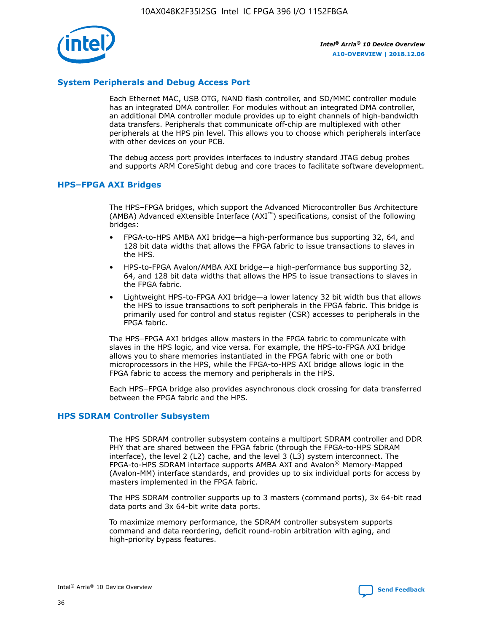

# **System Peripherals and Debug Access Port**

Each Ethernet MAC, USB OTG, NAND flash controller, and SD/MMC controller module has an integrated DMA controller. For modules without an integrated DMA controller, an additional DMA controller module provides up to eight channels of high-bandwidth data transfers. Peripherals that communicate off-chip are multiplexed with other peripherals at the HPS pin level. This allows you to choose which peripherals interface with other devices on your PCB.

The debug access port provides interfaces to industry standard JTAG debug probes and supports ARM CoreSight debug and core traces to facilitate software development.

## **HPS–FPGA AXI Bridges**

The HPS–FPGA bridges, which support the Advanced Microcontroller Bus Architecture (AMBA) Advanced eXtensible Interface (AXI™) specifications, consist of the following bridges:

- FPGA-to-HPS AMBA AXI bridge—a high-performance bus supporting 32, 64, and 128 bit data widths that allows the FPGA fabric to issue transactions to slaves in the HPS.
- HPS-to-FPGA Avalon/AMBA AXI bridge—a high-performance bus supporting 32, 64, and 128 bit data widths that allows the HPS to issue transactions to slaves in the FPGA fabric.
- Lightweight HPS-to-FPGA AXI bridge—a lower latency 32 bit width bus that allows the HPS to issue transactions to soft peripherals in the FPGA fabric. This bridge is primarily used for control and status register (CSR) accesses to peripherals in the FPGA fabric.

The HPS–FPGA AXI bridges allow masters in the FPGA fabric to communicate with slaves in the HPS logic, and vice versa. For example, the HPS-to-FPGA AXI bridge allows you to share memories instantiated in the FPGA fabric with one or both microprocessors in the HPS, while the FPGA-to-HPS AXI bridge allows logic in the FPGA fabric to access the memory and peripherals in the HPS.

Each HPS–FPGA bridge also provides asynchronous clock crossing for data transferred between the FPGA fabric and the HPS.

#### **HPS SDRAM Controller Subsystem**

The HPS SDRAM controller subsystem contains a multiport SDRAM controller and DDR PHY that are shared between the FPGA fabric (through the FPGA-to-HPS SDRAM interface), the level 2 (L2) cache, and the level 3 (L3) system interconnect. The FPGA-to-HPS SDRAM interface supports AMBA AXI and Avalon® Memory-Mapped (Avalon-MM) interface standards, and provides up to six individual ports for access by masters implemented in the FPGA fabric.

The HPS SDRAM controller supports up to 3 masters (command ports), 3x 64-bit read data ports and 3x 64-bit write data ports.

To maximize memory performance, the SDRAM controller subsystem supports command and data reordering, deficit round-robin arbitration with aging, and high-priority bypass features.

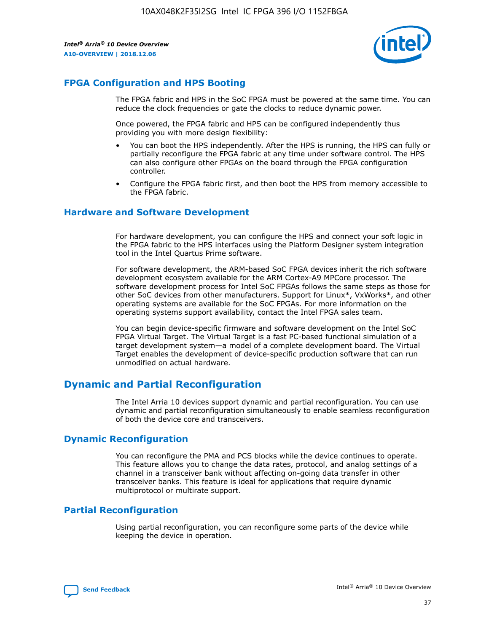

# **FPGA Configuration and HPS Booting**

The FPGA fabric and HPS in the SoC FPGA must be powered at the same time. You can reduce the clock frequencies or gate the clocks to reduce dynamic power.

Once powered, the FPGA fabric and HPS can be configured independently thus providing you with more design flexibility:

- You can boot the HPS independently. After the HPS is running, the HPS can fully or partially reconfigure the FPGA fabric at any time under software control. The HPS can also configure other FPGAs on the board through the FPGA configuration controller.
- Configure the FPGA fabric first, and then boot the HPS from memory accessible to the FPGA fabric.

## **Hardware and Software Development**

For hardware development, you can configure the HPS and connect your soft logic in the FPGA fabric to the HPS interfaces using the Platform Designer system integration tool in the Intel Quartus Prime software.

For software development, the ARM-based SoC FPGA devices inherit the rich software development ecosystem available for the ARM Cortex-A9 MPCore processor. The software development process for Intel SoC FPGAs follows the same steps as those for other SoC devices from other manufacturers. Support for Linux\*, VxWorks\*, and other operating systems are available for the SoC FPGAs. For more information on the operating systems support availability, contact the Intel FPGA sales team.

You can begin device-specific firmware and software development on the Intel SoC FPGA Virtual Target. The Virtual Target is a fast PC-based functional simulation of a target development system—a model of a complete development board. The Virtual Target enables the development of device-specific production software that can run unmodified on actual hardware.

# **Dynamic and Partial Reconfiguration**

The Intel Arria 10 devices support dynamic and partial reconfiguration. You can use dynamic and partial reconfiguration simultaneously to enable seamless reconfiguration of both the device core and transceivers.

# **Dynamic Reconfiguration**

You can reconfigure the PMA and PCS blocks while the device continues to operate. This feature allows you to change the data rates, protocol, and analog settings of a channel in a transceiver bank without affecting on-going data transfer in other transceiver banks. This feature is ideal for applications that require dynamic multiprotocol or multirate support.

# **Partial Reconfiguration**

Using partial reconfiguration, you can reconfigure some parts of the device while keeping the device in operation.

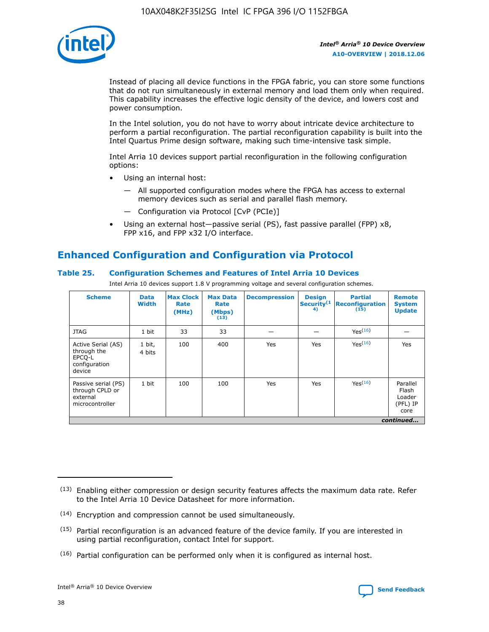

Instead of placing all device functions in the FPGA fabric, you can store some functions that do not run simultaneously in external memory and load them only when required. This capability increases the effective logic density of the device, and lowers cost and power consumption.

In the Intel solution, you do not have to worry about intricate device architecture to perform a partial reconfiguration. The partial reconfiguration capability is built into the Intel Quartus Prime design software, making such time-intensive task simple.

Intel Arria 10 devices support partial reconfiguration in the following configuration options:

- Using an internal host:
	- All supported configuration modes where the FPGA has access to external memory devices such as serial and parallel flash memory.
	- Configuration via Protocol [CvP (PCIe)]
- Using an external host—passive serial (PS), fast passive parallel (FPP) x8, FPP x16, and FPP x32 I/O interface.

# **Enhanced Configuration and Configuration via Protocol**

## **Table 25. Configuration Schemes and Features of Intel Arria 10 Devices**

Intel Arria 10 devices support 1.8 V programming voltage and several configuration schemes.

| <b>Scheme</b>                                                          | <b>Data</b><br><b>Width</b> | <b>Max Clock</b><br>Rate<br>(MHz) | <b>Max Data</b><br>Rate<br>(Mbps)<br>(13) | <b>Decompression</b> | <b>Design</b><br>Security <sup>(1</sup><br>4) | <b>Partial</b><br>Reconfiguration<br>(15) | <b>Remote</b><br><b>System</b><br><b>Update</b> |
|------------------------------------------------------------------------|-----------------------------|-----------------------------------|-------------------------------------------|----------------------|-----------------------------------------------|-------------------------------------------|-------------------------------------------------|
| <b>JTAG</b>                                                            | 1 bit                       | 33                                | 33                                        |                      |                                               | Yes(16)                                   |                                                 |
| Active Serial (AS)<br>through the<br>EPCO-L<br>configuration<br>device | 1 bit,<br>4 bits            | 100                               | 400                                       | Yes                  | Yes                                           | Yes(16)                                   | Yes                                             |
| Passive serial (PS)<br>through CPLD or<br>external<br>microcontroller  | 1 bit                       | 100                               | 100                                       | Yes                  | Yes                                           | Yes <sup>(16)</sup>                       | Parallel<br>Flash<br>Loader<br>(PFL) IP<br>core |
|                                                                        |                             |                                   |                                           |                      |                                               |                                           | continued                                       |

<sup>(13)</sup> Enabling either compression or design security features affects the maximum data rate. Refer to the Intel Arria 10 Device Datasheet for more information.

<sup>(14)</sup> Encryption and compression cannot be used simultaneously.

 $(15)$  Partial reconfiguration is an advanced feature of the device family. If you are interested in using partial reconfiguration, contact Intel for support.

 $(16)$  Partial configuration can be performed only when it is configured as internal host.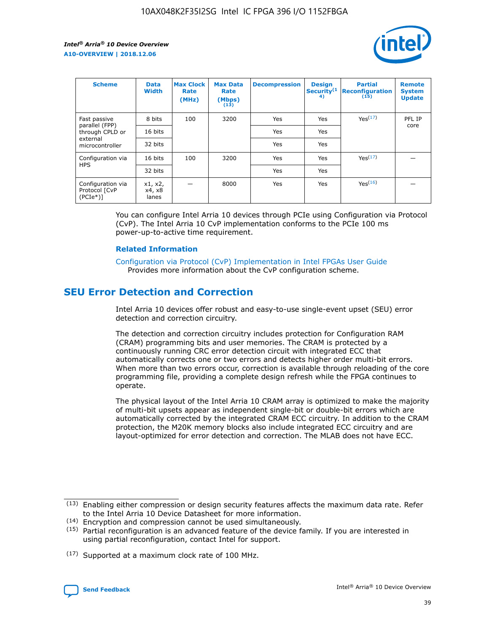

| <b>Scheme</b>                                   | <b>Data</b><br><b>Width</b> | <b>Max Clock</b><br>Rate<br>(MHz) | <b>Max Data</b><br>Rate<br>(Mbps)<br>(13) | <b>Decompression</b> | <b>Design</b><br>Security <sup>(1</sup><br>4) | <b>Partial</b><br><b>Reconfiguration</b><br>(15) | <b>Remote</b><br><b>System</b><br><b>Update</b> |
|-------------------------------------------------|-----------------------------|-----------------------------------|-------------------------------------------|----------------------|-----------------------------------------------|--------------------------------------------------|-------------------------------------------------|
| Fast passive                                    | 8 bits                      | 100                               | 3200                                      | Yes                  | Yes                                           | Yes(17)                                          | PFL IP                                          |
| parallel (FPP)<br>through CPLD or               | 16 bits                     |                                   |                                           | Yes                  | Yes                                           |                                                  | core                                            |
| external<br>microcontroller                     | 32 bits                     |                                   |                                           | Yes                  | Yes                                           |                                                  |                                                 |
| Configuration via                               | 16 bits                     | 100                               | 3200                                      | Yes                  | Yes                                           | Yes <sup>(17)</sup>                              |                                                 |
| <b>HPS</b>                                      | 32 bits                     |                                   |                                           | Yes                  | Yes                                           |                                                  |                                                 |
| Configuration via<br>Protocol [CvP<br>$(PCIe*)$ | x1, x2,<br>x4, x8<br>lanes  |                                   | 8000                                      | Yes                  | Yes                                           | Yes(16)                                          |                                                 |

You can configure Intel Arria 10 devices through PCIe using Configuration via Protocol (CvP). The Intel Arria 10 CvP implementation conforms to the PCIe 100 ms power-up-to-active time requirement.

#### **Related Information**

[Configuration via Protocol \(CvP\) Implementation in Intel FPGAs User Guide](https://www.intel.com/content/www/us/en/programmable/documentation/dsu1441819344145.html#dsu1442269728522) Provides more information about the CvP configuration scheme.

# **SEU Error Detection and Correction**

Intel Arria 10 devices offer robust and easy-to-use single-event upset (SEU) error detection and correction circuitry.

The detection and correction circuitry includes protection for Configuration RAM (CRAM) programming bits and user memories. The CRAM is protected by a continuously running CRC error detection circuit with integrated ECC that automatically corrects one or two errors and detects higher order multi-bit errors. When more than two errors occur, correction is available through reloading of the core programming file, providing a complete design refresh while the FPGA continues to operate.

The physical layout of the Intel Arria 10 CRAM array is optimized to make the majority of multi-bit upsets appear as independent single-bit or double-bit errors which are automatically corrected by the integrated CRAM ECC circuitry. In addition to the CRAM protection, the M20K memory blocks also include integrated ECC circuitry and are layout-optimized for error detection and correction. The MLAB does not have ECC.

(14) Encryption and compression cannot be used simultaneously.

<sup>(17)</sup> Supported at a maximum clock rate of 100 MHz.



 $(13)$  Enabling either compression or design security features affects the maximum data rate. Refer to the Intel Arria 10 Device Datasheet for more information.

 $(15)$  Partial reconfiguration is an advanced feature of the device family. If you are interested in using partial reconfiguration, contact Intel for support.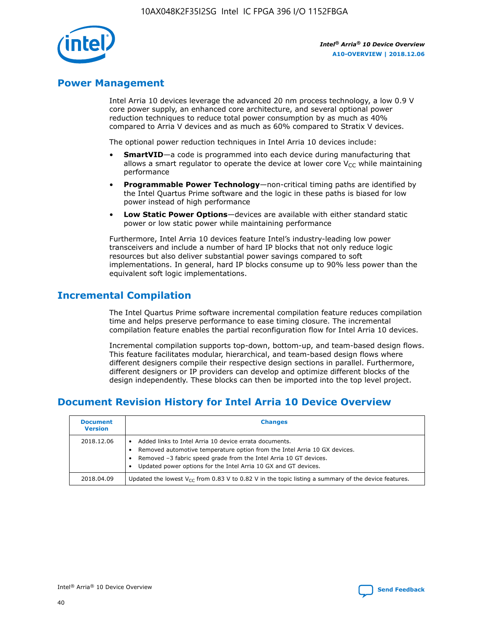

# **Power Management**

Intel Arria 10 devices leverage the advanced 20 nm process technology, a low 0.9 V core power supply, an enhanced core architecture, and several optional power reduction techniques to reduce total power consumption by as much as 40% compared to Arria V devices and as much as 60% compared to Stratix V devices.

The optional power reduction techniques in Intel Arria 10 devices include:

- **SmartVID**—a code is programmed into each device during manufacturing that allows a smart regulator to operate the device at lower core  $V_{CC}$  while maintaining performance
- **Programmable Power Technology**—non-critical timing paths are identified by the Intel Quartus Prime software and the logic in these paths is biased for low power instead of high performance
- **Low Static Power Options**—devices are available with either standard static power or low static power while maintaining performance

Furthermore, Intel Arria 10 devices feature Intel's industry-leading low power transceivers and include a number of hard IP blocks that not only reduce logic resources but also deliver substantial power savings compared to soft implementations. In general, hard IP blocks consume up to 90% less power than the equivalent soft logic implementations.

# **Incremental Compilation**

The Intel Quartus Prime software incremental compilation feature reduces compilation time and helps preserve performance to ease timing closure. The incremental compilation feature enables the partial reconfiguration flow for Intel Arria 10 devices.

Incremental compilation supports top-down, bottom-up, and team-based design flows. This feature facilitates modular, hierarchical, and team-based design flows where different designers compile their respective design sections in parallel. Furthermore, different designers or IP providers can develop and optimize different blocks of the design independently. These blocks can then be imported into the top level project.

# **Document Revision History for Intel Arria 10 Device Overview**

| <b>Document</b><br><b>Version</b> | <b>Changes</b>                                                                                                                                                                                                                                                              |
|-----------------------------------|-----------------------------------------------------------------------------------------------------------------------------------------------------------------------------------------------------------------------------------------------------------------------------|
| 2018.12.06                        | Added links to Intel Arria 10 device errata documents.<br>Removed automotive temperature option from the Intel Arria 10 GX devices.<br>Removed -3 fabric speed grade from the Intel Arria 10 GT devices.<br>Updated power options for the Intel Arria 10 GX and GT devices. |
| 2018.04.09                        | Updated the lowest $V_{CC}$ from 0.83 V to 0.82 V in the topic listing a summary of the device features.                                                                                                                                                                    |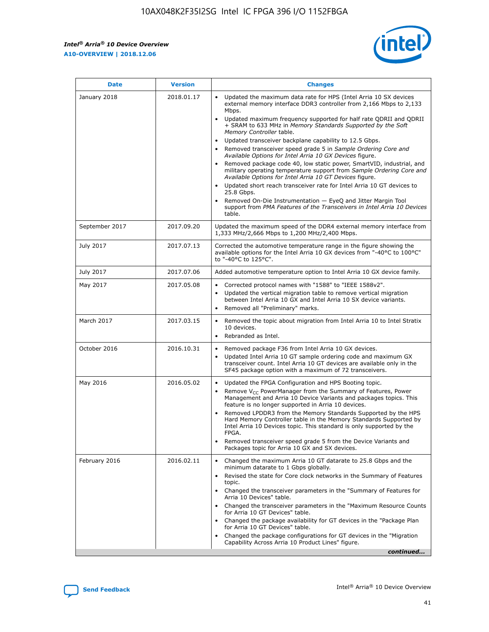*Intel® Arria® 10 Device Overview* **A10-OVERVIEW | 2018.12.06**



| <b>Date</b>    | <b>Version</b> | <b>Changes</b>                                                                                                                                                                                                                                                                                                                                                                                                                                                                                                                                                                                                                                                                                                                                                                                                                                                                                                                                                                         |
|----------------|----------------|----------------------------------------------------------------------------------------------------------------------------------------------------------------------------------------------------------------------------------------------------------------------------------------------------------------------------------------------------------------------------------------------------------------------------------------------------------------------------------------------------------------------------------------------------------------------------------------------------------------------------------------------------------------------------------------------------------------------------------------------------------------------------------------------------------------------------------------------------------------------------------------------------------------------------------------------------------------------------------------|
| January 2018   | 2018.01.17     | Updated the maximum data rate for HPS (Intel Arria 10 SX devices<br>external memory interface DDR3 controller from 2,166 Mbps to 2,133<br>Mbps.<br>Updated maximum frequency supported for half rate QDRII and QDRII<br>+ SRAM to 633 MHz in Memory Standards Supported by the Soft<br>Memory Controller table.<br>Updated transceiver backplane capability to 12.5 Gbps.<br>$\bullet$<br>Removed transceiver speed grade 5 in Sample Ordering Core and<br>$\bullet$<br>Available Options for Intel Arria 10 GX Devices figure.<br>Removed package code 40, low static power, SmartVID, industrial, and<br>military operating temperature support from Sample Ordering Core and<br>Available Options for Intel Arria 10 GT Devices figure.<br>Updated short reach transceiver rate for Intel Arria 10 GT devices to<br>25.8 Gbps.<br>Removed On-Die Instrumentation - EyeQ and Jitter Margin Tool<br>support from PMA Features of the Transceivers in Intel Arria 10 Devices<br>table. |
| September 2017 | 2017.09.20     | Updated the maximum speed of the DDR4 external memory interface from<br>1,333 MHz/2,666 Mbps to 1,200 MHz/2,400 Mbps.                                                                                                                                                                                                                                                                                                                                                                                                                                                                                                                                                                                                                                                                                                                                                                                                                                                                  |
| July 2017      | 2017.07.13     | Corrected the automotive temperature range in the figure showing the<br>available options for the Intel Arria 10 GX devices from "-40°C to 100°C"<br>to "-40°C to 125°C".                                                                                                                                                                                                                                                                                                                                                                                                                                                                                                                                                                                                                                                                                                                                                                                                              |
| July 2017      | 2017.07.06     | Added automotive temperature option to Intel Arria 10 GX device family.                                                                                                                                                                                                                                                                                                                                                                                                                                                                                                                                                                                                                                                                                                                                                                                                                                                                                                                |
| May 2017       | 2017.05.08     | Corrected protocol names with "1588" to "IEEE 1588v2".<br>$\bullet$<br>Updated the vertical migration table to remove vertical migration<br>$\bullet$<br>between Intel Arria 10 GX and Intel Arria 10 SX device variants.<br>Removed all "Preliminary" marks.<br>$\bullet$                                                                                                                                                                                                                                                                                                                                                                                                                                                                                                                                                                                                                                                                                                             |
| March 2017     | 2017.03.15     | Removed the topic about migration from Intel Arria 10 to Intel Stratix<br>$\bullet$<br>10 devices.<br>Rebranded as Intel.<br>$\bullet$                                                                                                                                                                                                                                                                                                                                                                                                                                                                                                                                                                                                                                                                                                                                                                                                                                                 |
| October 2016   | 2016.10.31     | Removed package F36 from Intel Arria 10 GX devices.<br>Updated Intel Arria 10 GT sample ordering code and maximum GX<br>$\bullet$<br>transceiver count. Intel Arria 10 GT devices are available only in the<br>SF45 package option with a maximum of 72 transceivers.                                                                                                                                                                                                                                                                                                                                                                                                                                                                                                                                                                                                                                                                                                                  |
| May 2016       | 2016.05.02     | Updated the FPGA Configuration and HPS Booting topic.<br>$\bullet$<br>Remove V <sub>CC</sub> PowerManager from the Summary of Features, Power<br>Management and Arria 10 Device Variants and packages topics. This<br>feature is no longer supported in Arria 10 devices.<br>Removed LPDDR3 from the Memory Standards Supported by the HPS<br>Hard Memory Controller table in the Memory Standards Supported by<br>Intel Arria 10 Devices topic. This standard is only supported by the<br>FPGA.<br>Removed transceiver speed grade 5 from the Device Variants and<br>Packages topic for Arria 10 GX and SX devices.                                                                                                                                                                                                                                                                                                                                                                   |
| February 2016  | 2016.02.11     | Changed the maximum Arria 10 GT datarate to 25.8 Gbps and the<br>minimum datarate to 1 Gbps globally.<br>Revised the state for Core clock networks in the Summary of Features<br>$\bullet$<br>topic.<br>Changed the transceiver parameters in the "Summary of Features for<br>$\bullet$<br>Arria 10 Devices" table.<br>• Changed the transceiver parameters in the "Maximum Resource Counts<br>for Arria 10 GT Devices" table.<br>Changed the package availability for GT devices in the "Package Plan<br>for Arria 10 GT Devices" table.<br>Changed the package configurations for GT devices in the "Migration"<br>Capability Across Arria 10 Product Lines" figure.<br>continued                                                                                                                                                                                                                                                                                                    |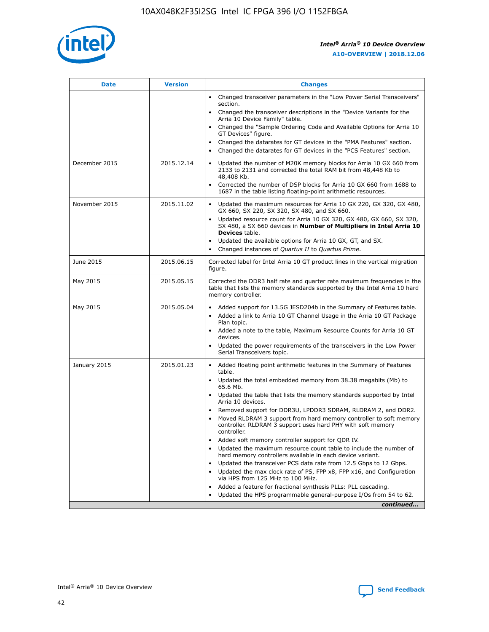

| <b>Date</b>   | <b>Version</b> | <b>Changes</b>                                                                                                                                                               |
|---------------|----------------|------------------------------------------------------------------------------------------------------------------------------------------------------------------------------|
|               |                | • Changed transceiver parameters in the "Low Power Serial Transceivers"<br>section.                                                                                          |
|               |                | • Changed the transceiver descriptions in the "Device Variants for the<br>Arria 10 Device Family" table.                                                                     |
|               |                | Changed the "Sample Ordering Code and Available Options for Arria 10<br>$\bullet$<br>GT Devices" figure.                                                                     |
|               |                | Changed the datarates for GT devices in the "PMA Features" section.                                                                                                          |
|               |                | Changed the datarates for GT devices in the "PCS Features" section.<br>$\bullet$                                                                                             |
| December 2015 | 2015.12.14     | Updated the number of M20K memory blocks for Arria 10 GX 660 from<br>2133 to 2131 and corrected the total RAM bit from 48,448 Kb to<br>48,408 Kb.                            |
|               |                | Corrected the number of DSP blocks for Arria 10 GX 660 from 1688 to<br>1687 in the table listing floating-point arithmetic resources.                                        |
| November 2015 | 2015.11.02     | Updated the maximum resources for Arria 10 GX 220, GX 320, GX 480,<br>$\bullet$<br>GX 660, SX 220, SX 320, SX 480, and SX 660.                                               |
|               |                | • Updated resource count for Arria 10 GX 320, GX 480, GX 660, SX 320,<br>SX 480, a SX 660 devices in Number of Multipliers in Intel Arria 10<br><b>Devices</b> table.        |
|               |                | Updated the available options for Arria 10 GX, GT, and SX.                                                                                                                   |
|               |                | Changed instances of Quartus II to Quartus Prime.<br>$\bullet$                                                                                                               |
| June 2015     | 2015.06.15     | Corrected label for Intel Arria 10 GT product lines in the vertical migration<br>figure.                                                                                     |
| May 2015      | 2015.05.15     | Corrected the DDR3 half rate and quarter rate maximum frequencies in the<br>table that lists the memory standards supported by the Intel Arria 10 hard<br>memory controller. |
| May 2015      | 2015.05.04     | • Added support for 13.5G JESD204b in the Summary of Features table.                                                                                                         |
|               |                | • Added a link to Arria 10 GT Channel Usage in the Arria 10 GT Package<br>Plan topic.                                                                                        |
|               |                | • Added a note to the table, Maximum Resource Counts for Arria 10 GT<br>devices.                                                                                             |
|               |                | • Updated the power requirements of the transceivers in the Low Power<br>Serial Transceivers topic.                                                                          |
| January 2015  | 2015.01.23     | • Added floating point arithmetic features in the Summary of Features<br>table.                                                                                              |
|               |                | • Updated the total embedded memory from 38.38 megabits (Mb) to<br>65.6 Mb.                                                                                                  |
|               |                | • Updated the table that lists the memory standards supported by Intel<br>Arria 10 devices.                                                                                  |
|               |                | Removed support for DDR3U, LPDDR3 SDRAM, RLDRAM 2, and DDR2.                                                                                                                 |
|               |                | Moved RLDRAM 3 support from hard memory controller to soft memory<br>controller. RLDRAM 3 support uses hard PHY with soft memory<br>controller.                              |
|               |                | Added soft memory controller support for QDR IV.<br>٠                                                                                                                        |
|               |                | Updated the maximum resource count table to include the number of<br>hard memory controllers available in each device variant.                                               |
|               |                | Updated the transceiver PCS data rate from 12.5 Gbps to 12 Gbps.<br>$\bullet$                                                                                                |
|               |                | Updated the max clock rate of PS, FPP x8, FPP x16, and Configuration<br>via HPS from 125 MHz to 100 MHz.                                                                     |
|               |                | Added a feature for fractional synthesis PLLs: PLL cascading.                                                                                                                |
|               |                | Updated the HPS programmable general-purpose I/Os from 54 to 62.<br>$\bullet$                                                                                                |
|               |                | continued                                                                                                                                                                    |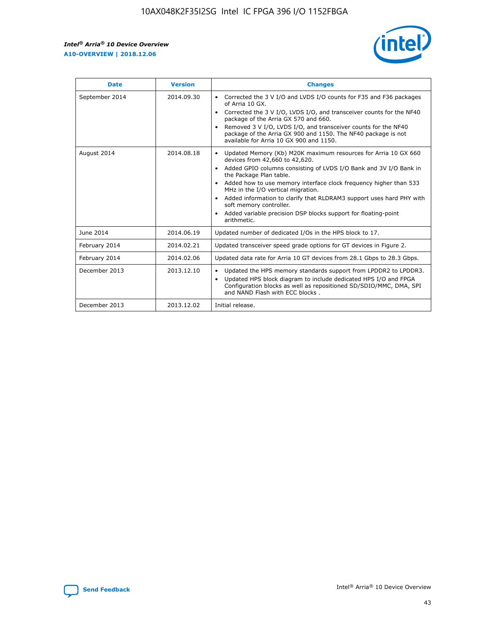r



| <b>Date</b>    | <b>Version</b> | <b>Changes</b>                                                                                                                                                                                                                                                                                                                                                                                                                                                                                                                         |
|----------------|----------------|----------------------------------------------------------------------------------------------------------------------------------------------------------------------------------------------------------------------------------------------------------------------------------------------------------------------------------------------------------------------------------------------------------------------------------------------------------------------------------------------------------------------------------------|
| September 2014 | 2014.09.30     | Corrected the 3 V I/O and LVDS I/O counts for F35 and F36 packages<br>of Arria 10 GX.<br>Corrected the 3 V I/O, LVDS I/O, and transceiver counts for the NF40<br>package of the Arria GX 570 and 660.<br>Removed 3 V I/O, LVDS I/O, and transceiver counts for the NF40<br>package of the Arria GX 900 and 1150. The NF40 package is not<br>available for Arria 10 GX 900 and 1150.                                                                                                                                                    |
| August 2014    | 2014.08.18     | Updated Memory (Kb) M20K maximum resources for Arria 10 GX 660<br>devices from 42,660 to 42,620.<br>Added GPIO columns consisting of LVDS I/O Bank and 3V I/O Bank in<br>$\bullet$<br>the Package Plan table.<br>Added how to use memory interface clock frequency higher than 533<br>$\bullet$<br>MHz in the I/O vertical migration.<br>Added information to clarify that RLDRAM3 support uses hard PHY with<br>$\bullet$<br>soft memory controller.<br>Added variable precision DSP blocks support for floating-point<br>arithmetic. |
| June 2014      | 2014.06.19     | Updated number of dedicated I/Os in the HPS block to 17.                                                                                                                                                                                                                                                                                                                                                                                                                                                                               |
| February 2014  | 2014.02.21     | Updated transceiver speed grade options for GT devices in Figure 2.                                                                                                                                                                                                                                                                                                                                                                                                                                                                    |
| February 2014  | 2014.02.06     | Updated data rate for Arria 10 GT devices from 28.1 Gbps to 28.3 Gbps.                                                                                                                                                                                                                                                                                                                                                                                                                                                                 |
| December 2013  | 2013.12.10     | Updated the HPS memory standards support from LPDDR2 to LPDDR3.<br>Updated HPS block diagram to include dedicated HPS I/O and FPGA<br>$\bullet$<br>Configuration blocks as well as repositioned SD/SDIO/MMC, DMA, SPI<br>and NAND Flash with ECC blocks.                                                                                                                                                                                                                                                                               |
| December 2013  | 2013.12.02     | Initial release.                                                                                                                                                                                                                                                                                                                                                                                                                                                                                                                       |